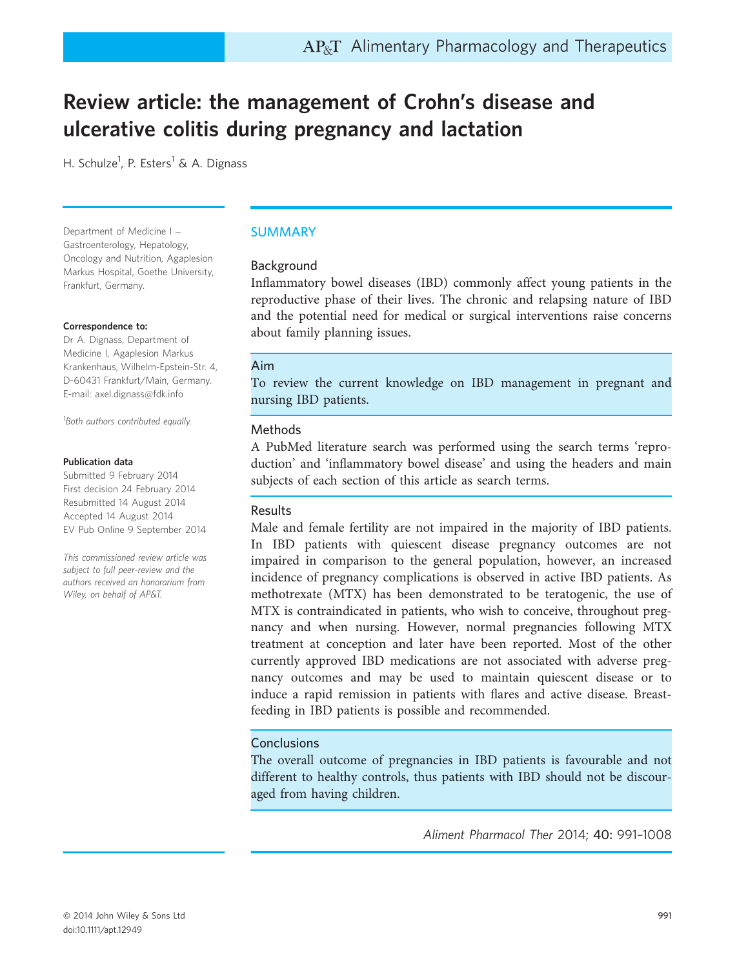# Review article: the management of Crohn's disease and ulcerative colitis during pregnancy and lactation

H. Schulze<sup>1</sup>, P. Esters<sup>1</sup> & A. Dignass

Department of Medicine I – Gastroenterology, Hepatology, Oncology and Nutrition, Agaplesion Markus Hospital, Goethe University, Frankfurt, Germany.

#### Correspondence to:

Dr A. Dignass, Department of Medicine I, Agaplesion Markus Krankenhaus, Wilhelm-Epstein-Str. 4, D-60431 Frankfurt/Main, Germany. E-mail: axel.dignass@fdk.info

<sup>1</sup>Both authors contributed equally.

#### Publication data

Submitted 9 February 2014 First decision 24 February 2014 Resubmitted 14 August 2014 Accepted 14 August 2014 EV Pub Online 9 September 2014

This commissioned review article was subject to full peer-review and the authors received an honorarium from Wiley, on behalf of AP&T.

#### **SUMMARY**

#### Background

Inflammatory bowel diseases (IBD) commonly affect young patients in the reproductive phase of their lives. The chronic and relapsing nature of IBD and the potential need for medical or surgical interventions raise concerns about family planning issues.

#### Aim

To review the current knowledge on IBD management in pregnant and nursing IBD patients.

#### Methods

A PubMed literature search was performed using the search terms 'reproduction' and 'inflammatory bowel disease' and using the headers and main subjects of each section of this article as search terms.

#### Results

Male and female fertility are not impaired in the majority of IBD patients. In IBD patients with quiescent disease pregnancy outcomes are not impaired in comparison to the general population, however, an increased incidence of pregnancy complications is observed in active IBD patients. As methotrexate (MTX) has been demonstrated to be teratogenic, the use of MTX is contraindicated in patients, who wish to conceive, throughout pregnancy and when nursing. However, normal pregnancies following MTX treatment at conception and later have been reported. Most of the other currently approved IBD medications are not associated with adverse pregnancy outcomes and may be used to maintain quiescent disease or to induce a rapid remission in patients with flares and active disease. Breastfeeding in IBD patients is possible and recommended.

#### **Conclusions**

The overall outcome of pregnancies in IBD patients is favourable and not different to healthy controls, thus patients with IBD should not be discouraged from having children.

Aliment Pharmacol Ther 2014; 40: 991–1008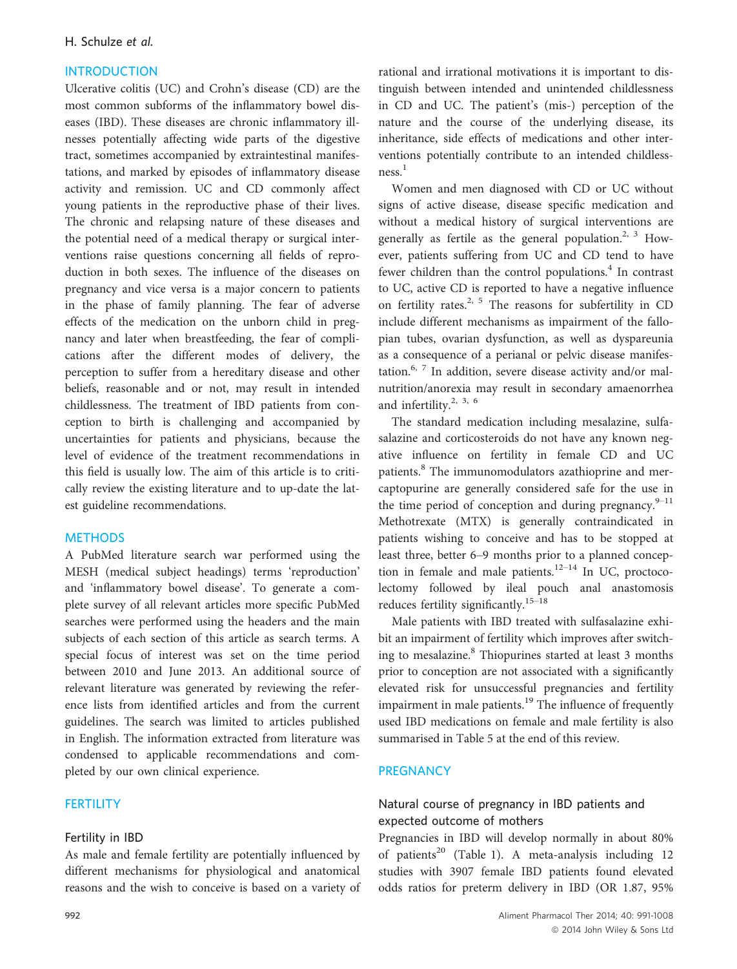#### H. Schulze et al.

## INTRODUCTION

Ulcerative colitis (UC) and Crohn's disease (CD) are the most common subforms of the inflammatory bowel diseases (IBD). These diseases are chronic inflammatory illnesses potentially affecting wide parts of the digestive tract, sometimes accompanied by extraintestinal manifestations, and marked by episodes of inflammatory disease activity and remission. UC and CD commonly affect young patients in the reproductive phase of their lives. The chronic and relapsing nature of these diseases and the potential need of a medical therapy or surgical interventions raise questions concerning all fields of reproduction in both sexes. The influence of the diseases on pregnancy and vice versa is a major concern to patients in the phase of family planning. The fear of adverse effects of the medication on the unborn child in pregnancy and later when breastfeeding, the fear of complications after the different modes of delivery, the perception to suffer from a hereditary disease and other beliefs, reasonable and or not, may result in intended childlessness. The treatment of IBD patients from conception to birth is challenging and accompanied by uncertainties for patients and physicians, because the level of evidence of the treatment recommendations in this field is usually low. The aim of this article is to critically review the existing literature and to up-date the latest guideline recommendations.

#### **METHODS**

A PubMed literature search war performed using the MESH (medical subject headings) terms 'reproduction' and 'inflammatory bowel disease'. To generate a complete survey of all relevant articles more specific PubMed searches were performed using the headers and the main subjects of each section of this article as search terms. A special focus of interest was set on the time period between 2010 and June 2013. An additional source of relevant literature was generated by reviewing the reference lists from identified articles and from the current guidelines. The search was limited to articles published in English. The information extracted from literature was condensed to applicable recommendations and completed by our own clinical experience.

#### **FERTILITY**

#### Fertility in IBD

As male and female fertility are potentially influenced by different mechanisms for physiological and anatomical reasons and the wish to conceive is based on a variety of rational and irrational motivations it is important to distinguish between intended and unintended childlessness in CD and UC. The patient's (mis-) perception of the nature and the course of the underlying disease, its inheritance, side effects of medications and other interventions potentially contribute to an intended childless $ness<sup>1</sup>$ 

Women and men diagnosed with CD or UC without signs of active disease, disease specific medication and without a medical history of surgical interventions are generally as fertile as the general population.<sup>2, 3</sup> However, patients suffering from UC and CD tend to have fewer children than the control populations.<sup>4</sup> In contrast to UC, active CD is reported to have a negative influence on fertility rates.<sup>2, 5</sup> The reasons for subfertility in CD include different mechanisms as impairment of the fallopian tubes, ovarian dysfunction, as well as dyspareunia as a consequence of a perianal or pelvic disease manifestation.6, 7 In addition, severe disease activity and/or malnutrition/anorexia may result in secondary amaenorrhea and infertility.<sup>2, 3, 6</sup>

The standard medication including mesalazine, sulfasalazine and corticosteroids do not have any known negative influence on fertility in female CD and UC patients.<sup>8</sup> The immunomodulators azathioprine and mercaptopurine are generally considered safe for the use in the time period of conception and during pregnancy. $9-11$ Methotrexate (MTX) is generally contraindicated in patients wishing to conceive and has to be stopped at least three, better 6–9 months prior to a planned conception in female and male patients.<sup>12–14</sup> In UC, proctocolectomy followed by ileal pouch anal anastomosis reduces fertility significantly.<sup>15–18</sup>

Male patients with IBD treated with sulfasalazine exhibit an impairment of fertility which improves after switching to mesalazine.<sup>8</sup> Thiopurines started at least 3 months prior to conception are not associated with a significantly elevated risk for unsuccessful pregnancies and fertility impairment in male patients.<sup>19</sup> The influence of frequently used IBD medications on female and male fertility is also summarised in Table 5 at the end of this review.

#### **PREGNANCY**

## Natural course of pregnancy in IBD patients and expected outcome of mothers

Pregnancies in IBD will develop normally in about 80% of patients<sup>20</sup> (Table 1). A meta-analysis including 12 studies with 3907 female IBD patients found elevated odds ratios for preterm delivery in IBD (OR 1.87, 95%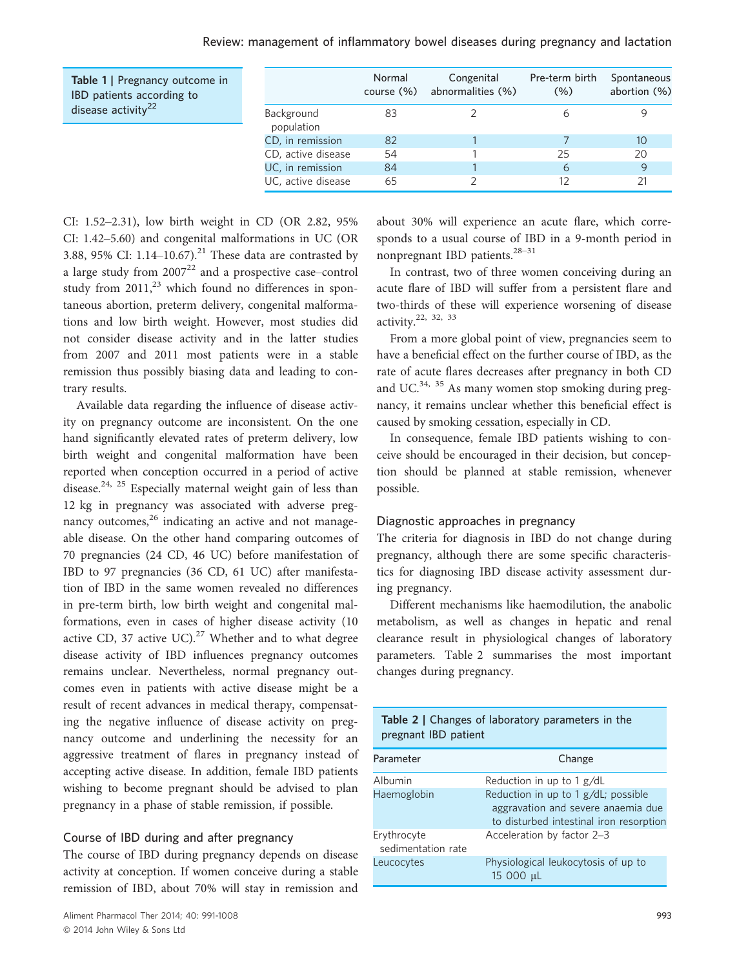| <b>Table 1</b>   Pregnancy outcome in<br>IBD patients according to |                          | Normal<br>course (%) | Congenital<br>abnormalities (%) | Pre-term birth<br>(% ) | Spontaneous<br>abortion (%) |
|--------------------------------------------------------------------|--------------------------|----------------------|---------------------------------|------------------------|-----------------------------|
| disease activity <sup>22</sup>                                     | Background<br>population | 83                   |                                 | ь                      |                             |
|                                                                    | CD, in remission         | 82                   |                                 |                        | 10                          |
|                                                                    | CD, active disease       | 54                   |                                 | 25                     | 20                          |
|                                                                    | UC, in remission         | 84                   |                                 | 6                      | q                           |
|                                                                    | UC, active disease       | 65                   |                                 | 12                     |                             |

CI: 1.52–2.31), low birth weight in CD (OR 2.82, 95% CI: 1.42–5.60) and congenital malformations in UC (OR 3.88, 95% CI:  $1.14-10.67$ ).<sup>21</sup> These data are contrasted by a large study from  $2007^{22}$  and a prospective case–control study from  $2011$ ,<sup>23</sup> which found no differences in spontaneous abortion, preterm delivery, congenital malformations and low birth weight. However, most studies did not consider disease activity and in the latter studies from 2007 and 2011 most patients were in a stable remission thus possibly biasing data and leading to contrary results.

Available data regarding the influence of disease activity on pregnancy outcome are inconsistent. On the one hand significantly elevated rates of preterm delivery, low birth weight and congenital malformation have been reported when conception occurred in a period of active disease.<sup>24, 25</sup> Especially maternal weight gain of less than 12 kg in pregnancy was associated with adverse pregnancy outcomes, $26$  indicating an active and not manageable disease. On the other hand comparing outcomes of 70 pregnancies (24 CD, 46 UC) before manifestation of IBD to 97 pregnancies (36 CD, 61 UC) after manifestation of IBD in the same women revealed no differences in pre-term birth, low birth weight and congenital malformations, even in cases of higher disease activity (10 active CD, 37 active UC). $27$  Whether and to what degree disease activity of IBD influences pregnancy outcomes remains unclear. Nevertheless, normal pregnancy outcomes even in patients with active disease might be a result of recent advances in medical therapy, compensating the negative influence of disease activity on pregnancy outcome and underlining the necessity for an aggressive treatment of flares in pregnancy instead of accepting active disease. In addition, female IBD patients wishing to become pregnant should be advised to plan pregnancy in a phase of stable remission, if possible.

#### Course of IBD during and after pregnancy

The course of IBD during pregnancy depends on disease activity at conception. If women conceive during a stable remission of IBD, about 70% will stay in remission and about 30% will experience an acute flare, which corresponds to a usual course of IBD in a 9-month period in nonpregnant IBD patients.28–<sup>31</sup>

In contrast, two of three women conceiving during an acute flare of IBD will suffer from a persistent flare and two-thirds of these will experience worsening of disease activity.22, 32, 33

From a more global point of view, pregnancies seem to have a beneficial effect on the further course of IBD, as the rate of acute flares decreases after pregnancy in both CD and UC.<sup>34, 35</sup> As many women stop smoking during pregnancy, it remains unclear whether this beneficial effect is caused by smoking cessation, especially in CD.

In consequence, female IBD patients wishing to conceive should be encouraged in their decision, but conception should be planned at stable remission, whenever possible.

#### Diagnostic approaches in pregnancy

The criteria for diagnosis in IBD do not change during pregnancy, although there are some specific characteristics for diagnosing IBD disease activity assessment during pregnancy.

Different mechanisms like haemodilution, the anabolic metabolism, as well as changes in hepatic and renal clearance result in physiological changes of laboratory parameters. Table 2 summarises the most important changes during pregnancy.

| <b>Table 2</b>   Changes of laboratory parameters in the<br>pregnant IBD patient |                                                                                                                      |  |  |  |
|----------------------------------------------------------------------------------|----------------------------------------------------------------------------------------------------------------------|--|--|--|
| Parameter                                                                        | Change                                                                                                               |  |  |  |
| Albumin                                                                          | Reduction in up to $1 g/dL$                                                                                          |  |  |  |
| Haemoglobin                                                                      | Reduction in up to 1 g/dL; possible<br>aggravation and severe anaemia due<br>to disturbed intestinal iron resorption |  |  |  |
| Erythrocyte<br>sedimentation rate                                                | Acceleration by factor 2-3                                                                                           |  |  |  |
| Leucocytes                                                                       | Physiological leukocytosis of up to<br>15 000 µL                                                                     |  |  |  |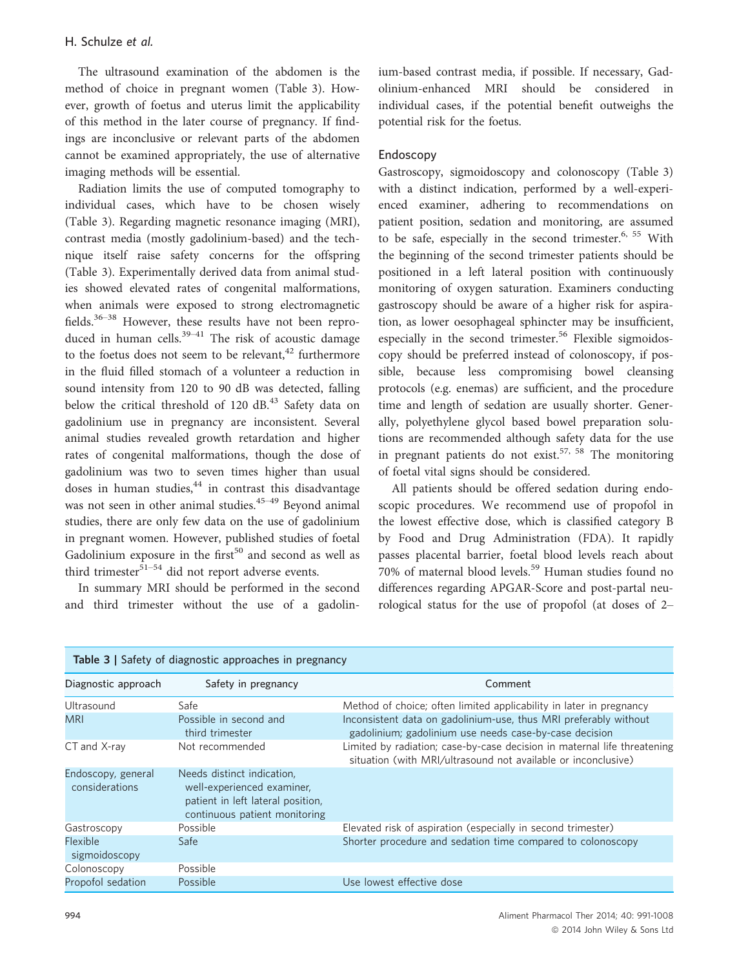The ultrasound examination of the abdomen is the method of choice in pregnant women (Table 3). However, growth of foetus and uterus limit the applicability of this method in the later course of pregnancy. If findings are inconclusive or relevant parts of the abdomen cannot be examined appropriately, the use of alternative imaging methods will be essential.

Radiation limits the use of computed tomography to individual cases, which have to be chosen wisely (Table 3). Regarding magnetic resonance imaging (MRI), contrast media (mostly gadolinium-based) and the technique itself raise safety concerns for the offspring (Table 3). Experimentally derived data from animal studies showed elevated rates of congenital malformations, when animals were exposed to strong electromagnetic fields.<sup>36–38</sup> However, these results have not been reproduced in human cells.<sup>39–41</sup> The risk of acoustic damage to the foetus does not seem to be relevant, $42$  furthermore in the fluid filled stomach of a volunteer a reduction in sound intensity from 120 to 90 dB was detected, falling below the critical threshold of 120 dB.<sup>43</sup> Safety data on gadolinium use in pregnancy are inconsistent. Several animal studies revealed growth retardation and higher rates of congenital malformations, though the dose of gadolinium was two to seven times higher than usual doses in human studies, $44$  in contrast this disadvantage was not seen in other animal studies.<sup>45–49</sup> Beyond animal studies, there are only few data on the use of gadolinium in pregnant women. However, published studies of foetal Gadolinium exposure in the first<sup>50</sup> and second as well as third trimester $51-54$  did not report adverse events.

In summary MRI should be performed in the second and third trimester without the use of a gadolinium-based contrast media, if possible. If necessary, Gadolinium-enhanced MRI should be considered in individual cases, if the potential benefit outweighs the potential risk for the foetus.

## Endoscopy

Gastroscopy, sigmoidoscopy and colonoscopy (Table 3) with a distinct indication, performed by a well-experienced examiner, adhering to recommendations on patient position, sedation and monitoring, are assumed to be safe, especially in the second trimester.<sup>6, 55</sup> With the beginning of the second trimester patients should be positioned in a left lateral position with continuously monitoring of oxygen saturation. Examiners conducting gastroscopy should be aware of a higher risk for aspiration, as lower oesophageal sphincter may be insufficient, especially in the second trimester.<sup>56</sup> Flexible sigmoidoscopy should be preferred instead of colonoscopy, if possible, because less compromising bowel cleansing protocols (e.g. enemas) are sufficient, and the procedure time and length of sedation are usually shorter. Generally, polyethylene glycol based bowel preparation solutions are recommended although safety data for the use in pregnant patients do not exist.<sup>57, 58</sup> The monitoring of foetal vital signs should be considered.

All patients should be offered sedation during endoscopic procedures. We recommend use of propofol in the lowest effective dose, which is classified category B by Food and Drug Administration (FDA). It rapidly passes placental barrier, foetal blood levels reach about 70% of maternal blood levels.<sup>59</sup> Human studies found no differences regarding APGAR-Score and post-partal neurological status for the use of propofol (at doses of 2–

| <b>Table 3</b>   Safety of diagnostic approaches in pregnancy |                                                                                                                                |                                                                                                                                           |  |  |  |  |
|---------------------------------------------------------------|--------------------------------------------------------------------------------------------------------------------------------|-------------------------------------------------------------------------------------------------------------------------------------------|--|--|--|--|
| Diagnostic approach                                           | Safety in pregnancy                                                                                                            | Comment                                                                                                                                   |  |  |  |  |
| Ultrasound                                                    | Safe                                                                                                                           | Method of choice; often limited applicability in later in pregnancy                                                                       |  |  |  |  |
| <b>MRI</b>                                                    | Possible in second and<br>third trimester                                                                                      | Inconsistent data on gadolinium-use, thus MRI preferably without<br>gadolinium; gadolinium use needs case-by-case decision                |  |  |  |  |
| $CT$ and $X$ -ray                                             | Not recommended                                                                                                                | Limited by radiation; case-by-case decision in maternal life threatening<br>situation (with MRI/ultrasound not available or inconclusive) |  |  |  |  |
| Endoscopy, general<br>considerations                          | Needs distinct indication,<br>well-experienced examiner,<br>patient in left lateral position,<br>continuous patient monitoring |                                                                                                                                           |  |  |  |  |
| Gastroscopy                                                   | Possible                                                                                                                       | Elevated risk of aspiration (especially in second trimester)                                                                              |  |  |  |  |
| Flexible<br>sigmoidoscopy                                     | Safe                                                                                                                           | Shorter procedure and sedation time compared to colonoscopy                                                                               |  |  |  |  |
| Colonoscopy                                                   | Possible                                                                                                                       |                                                                                                                                           |  |  |  |  |
| Propofol sedation                                             | Possible                                                                                                                       | Use lowest effective dose                                                                                                                 |  |  |  |  |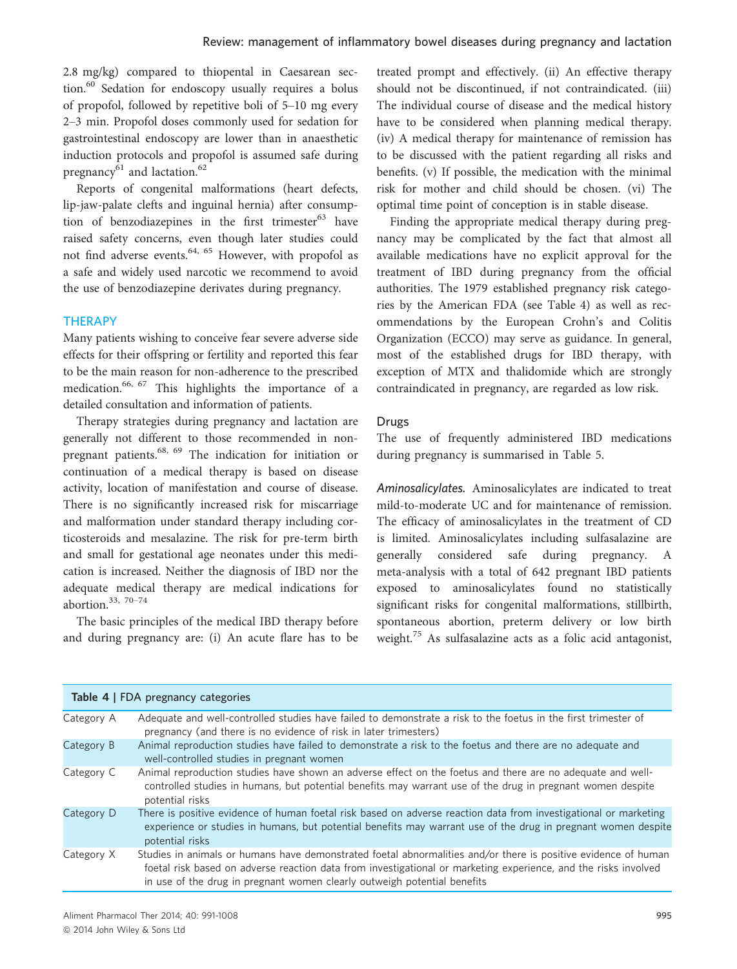2.8 mg/kg) compared to thiopental in Caesarean section.<sup>60</sup> Sedation for endoscopy usually requires a bolus of propofol, followed by repetitive boli of 5–10 mg every 2–3 min. Propofol doses commonly used for sedation for gastrointestinal endoscopy are lower than in anaesthetic induction protocols and propofol is assumed safe during pregnancy<sup>61</sup> and lactation.<sup>62</sup>

Reports of congenital malformations (heart defects, lip-jaw-palate clefts and inguinal hernia) after consumption of benzodiazepines in the first trimester $63$  have raised safety concerns, even though later studies could not find adverse events.<sup>64, 65</sup> However, with propofol as a safe and widely used narcotic we recommend to avoid the use of benzodiazepine derivates during pregnancy.

## **THERAPY**

Many patients wishing to conceive fear severe adverse side effects for their offspring or fertility and reported this fear to be the main reason for non-adherence to the prescribed medication.<sup>66, 67</sup> This highlights the importance of a detailed consultation and information of patients.

Therapy strategies during pregnancy and lactation are generally not different to those recommended in nonpregnant patients.68, 69 The indication for initiation or continuation of a medical therapy is based on disease activity, location of manifestation and course of disease. There is no significantly increased risk for miscarriage and malformation under standard therapy including corticosteroids and mesalazine. The risk for pre-term birth and small for gestational age neonates under this medication is increased. Neither the diagnosis of IBD nor the adequate medical therapy are medical indications for abortion. $33, 70-74$ 

The basic principles of the medical IBD therapy before and during pregnancy are: (i) An acute flare has to be treated prompt and effectively. (ii) An effective therapy should not be discontinued, if not contraindicated. (iii) The individual course of disease and the medical history have to be considered when planning medical therapy. (iv) A medical therapy for maintenance of remission has to be discussed with the patient regarding all risks and benefits. (v) If possible, the medication with the minimal risk for mother and child should be chosen. (vi) The optimal time point of conception is in stable disease.

Finding the appropriate medical therapy during pregnancy may be complicated by the fact that almost all available medications have no explicit approval for the treatment of IBD during pregnancy from the official authorities. The 1979 established pregnancy risk categories by the American FDA (see Table 4) as well as recommendations by the European Crohn's and Colitis Organization (ECCO) may serve as guidance. In general, most of the established drugs for IBD therapy, with exception of MTX and thalidomide which are strongly contraindicated in pregnancy, are regarded as low risk.

## Drugs

The use of frequently administered IBD medications during pregnancy is summarised in Table 5.

Aminosalicylates. Aminosalicylates are indicated to treat mild-to-moderate UC and for maintenance of remission. The efficacy of aminosalicylates in the treatment of CD is limited. Aminosalicylates including sulfasalazine are generally considered safe during pregnancy. A meta-analysis with a total of 642 pregnant IBD patients exposed to aminosalicylates found no statistically significant risks for congenital malformations, stillbirth, spontaneous abortion, preterm delivery or low birth weight.<sup>75</sup> As sulfasalazine acts as a folic acid antagonist,

| <b>Table 4   FDA</b> pregnancy categories |                                                                                                                                                                                                                                                                                                               |  |  |  |
|-------------------------------------------|---------------------------------------------------------------------------------------------------------------------------------------------------------------------------------------------------------------------------------------------------------------------------------------------------------------|--|--|--|
| Category A                                | Adequate and well-controlled studies have failed to demonstrate a risk to the foetus in the first trimester of<br>pregnancy (and there is no evidence of risk in later trimesters)                                                                                                                            |  |  |  |
| Category B                                | Animal reproduction studies have failed to demonstrate a risk to the foetus and there are no adequate and<br>well-controlled studies in pregnant women                                                                                                                                                        |  |  |  |
| Category C                                | Animal reproduction studies have shown an adverse effect on the foetus and there are no adequate and well-<br>controlled studies in humans, but potential benefits may warrant use of the drug in pregnant women despite<br>potential risks                                                                   |  |  |  |
| Category D                                | There is positive evidence of human foetal risk based on adverse reaction data from investigational or marketing<br>experience or studies in humans, but potential benefits may warrant use of the drug in pregnant women despite<br>potential risks                                                          |  |  |  |
| Category X                                | Studies in animals or humans have demonstrated foetal abnormalities and/or there is positive evidence of human<br>foetal risk based on adverse reaction data from investigational or marketing experience, and the risks involved<br>in use of the drug in pregnant women clearly outweigh potential benefits |  |  |  |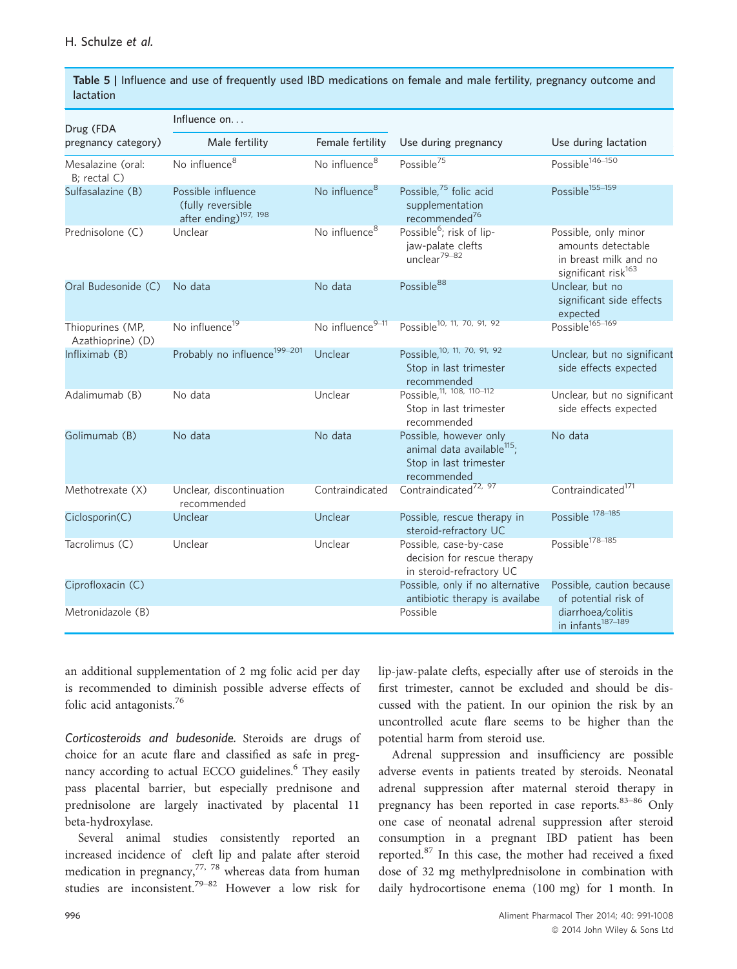| Drug (FDA<br>pregnancy category)      | Influence on                                                                 |                              |                                                                                                           |                                                                                                        |  |
|---------------------------------------|------------------------------------------------------------------------------|------------------------------|-----------------------------------------------------------------------------------------------------------|--------------------------------------------------------------------------------------------------------|--|
|                                       | Male fertility                                                               | Female fertility             | Use during pregnancy                                                                                      | Use during lactation                                                                                   |  |
| Mesalazine (oral:<br>B; rectal C)     | No influence <sup>8</sup>                                                    | No influence <sup>8</sup>    | Possible <sup>75</sup>                                                                                    | Possible <sup>146-150</sup>                                                                            |  |
| Sulfasalazine (B)                     | Possible influence<br>(fully reversible<br>after ending) <sup>197, 198</sup> | No influence <sup>8</sup>    | Possible, <sup>75</sup> folic acid<br>supplementation<br>recommended <sup>76</sup>                        | Possible <sup>155-159</sup>                                                                            |  |
| Prednisolone (C)                      | Unclear                                                                      | No influence <sup>8</sup>    | Possible <sup>6</sup> ; risk of lip-<br>jaw-palate clefts<br>unclear $^{79-82}$                           | Possible, only minor<br>amounts detectable<br>in breast milk and no<br>significant risk <sup>163</sup> |  |
| Oral Budesonide (C)                   | No data                                                                      | No data                      | Possible <sup>88</sup>                                                                                    | Unclear, but no<br>significant side effects<br>expected                                                |  |
| Thiopurines (MP,<br>Azathioprine) (D) | No influence <sup>19</sup>                                                   | No influence <sup>9-11</sup> | Possible <sup>10, 11, 70, 91, 92</sup>                                                                    | Possible <sup>165-169</sup>                                                                            |  |
| Infliximab (B)                        | Probably no influence <sup>199-201</sup>                                     | Unclear                      | Possible, 10, 11, 70, 91, 92<br>Stop in last trimester<br>recommended                                     | Unclear, but no significant<br>side effects expected                                                   |  |
| Adalimumab (B)                        | No data                                                                      | Unclear                      | Possible, 11, 108, 110-112<br>Stop in last trimester<br>recommended                                       | Unclear, but no significant<br>side effects expected                                                   |  |
| Golimumab (B)                         | No data                                                                      | No data                      | Possible, however only<br>animal data available <sup>115</sup> ;<br>Stop in last trimester<br>recommended | No data                                                                                                |  |
| Methotrexate (X)                      | Unclear, discontinuation<br>recommended                                      | Contraindicated              | Contraindicated <sup>72, 97</sup>                                                                         | Contraindicated <sup>171</sup>                                                                         |  |
| Ciclosporin(C)                        | Unclear                                                                      | Unclear                      | Possible, rescue therapy in<br>steroid-refractory UC                                                      | Possible 178-185                                                                                       |  |
| Tacrolimus (C)                        | Unclear                                                                      | Unclear                      | Possible, case-by-case<br>decision for rescue therapy<br>in steroid-refractory UC                         | Possible <sup>178-185</sup>                                                                            |  |
| Ciprofloxacin (C)                     |                                                                              |                              | Possible, only if no alternative<br>antibiotic therapy is availabe                                        | Possible, caution because<br>of potential risk of                                                      |  |
| Metronidazole (B)                     |                                                                              |                              | Possible                                                                                                  | diarrhoea/colitis<br>in infants <sup>187-189</sup>                                                     |  |

Table 5 | Influence and use of frequently used IBD medications on female and male fertility, pregnancy outcome and lactation

an additional supplementation of 2 mg folic acid per day is recommended to diminish possible adverse effects of folic acid antagonists.<sup>76</sup>

Corticosteroids and budesonide. Steroids are drugs of choice for an acute flare and classified as safe in pregnancy according to actual ECCO guidelines.<sup>6</sup> They easily pass placental barrier, but especially prednisone and prednisolone are largely inactivated by placental 11 beta-hydroxylase.

Several animal studies consistently reported an increased incidence of cleft lip and palate after steroid medication in pregnancy,  $77, 78$  whereas data from human studies are inconsistent.79–<sup>82</sup> However a low risk for lip-jaw-palate clefts, especially after use of steroids in the first trimester, cannot be excluded and should be discussed with the patient. In our opinion the risk by an uncontrolled acute flare seems to be higher than the potential harm from steroid use.

Adrenal suppression and insufficiency are possible adverse events in patients treated by steroids. Neonatal adrenal suppression after maternal steroid therapy in pregnancy has been reported in case reports.<sup>83-86</sup> Only one case of neonatal adrenal suppression after steroid consumption in a pregnant IBD patient has been reported.<sup>87</sup> In this case, the mother had received a fixed dose of 32 mg methylprednisolone in combination with daily hydrocortisone enema (100 mg) for 1 month. In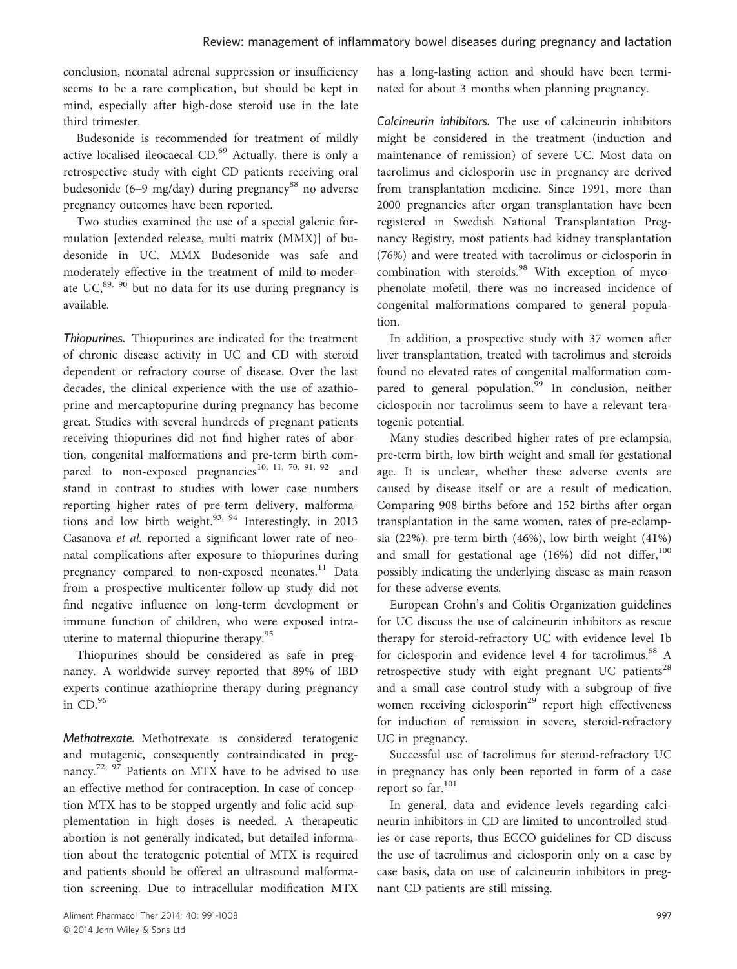conclusion, neonatal adrenal suppression or insufficiency seems to be a rare complication, but should be kept in mind, especially after high-dose steroid use in the late third trimester.

Budesonide is recommended for treatment of mildly active localised ileocaecal CD.<sup>69</sup> Actually, there is only a retrospective study with eight CD patients receiving oral budesonide (6–9 mg/day) during pregnancy<sup>88</sup> no adverse pregnancy outcomes have been reported.

Two studies examined the use of a special galenic formulation [extended release, multi matrix (MMX)] of budesonide in UC. MMX Budesonide was safe and moderately effective in the treatment of mild-to-moderate UC, $89, 90$  but no data for its use during pregnancy is available.

Thiopurines. Thiopurines are indicated for the treatment of chronic disease activity in UC and CD with steroid dependent or refractory course of disease. Over the last decades, the clinical experience with the use of azathioprine and mercaptopurine during pregnancy has become great. Studies with several hundreds of pregnant patients receiving thiopurines did not find higher rates of abortion, congenital malformations and pre-term birth compared to non-exposed pregnancies<sup>10, 11, 70, 91, 92</sup> and stand in contrast to studies with lower case numbers reporting higher rates of pre-term delivery, malformations and low birth weight.<sup>93, 94</sup> Interestingly, in 2013 Casanova et al. reported a significant lower rate of neonatal complications after exposure to thiopurines during pregnancy compared to non-exposed neonates.<sup>11</sup> Data from a prospective multicenter follow-up study did not find negative influence on long-term development or immune function of children, who were exposed intrauterine to maternal thiopurine therapy.<sup>95</sup>

Thiopurines should be considered as safe in pregnancy. A worldwide survey reported that 89% of IBD experts continue azathioprine therapy during pregnancy in  $CD<sup>96</sup>$ 

Methotrexate. Methotrexate is considered teratogenic and mutagenic, consequently contraindicated in pregnancy.<sup>72, 97</sup> Patients on MTX have to be advised to use an effective method for contraception. In case of conception MTX has to be stopped urgently and folic acid supplementation in high doses is needed. A therapeutic abortion is not generally indicated, but detailed information about the teratogenic potential of MTX is required and patients should be offered an ultrasound malformation screening. Due to intracellular modification MTX

has a long-lasting action and should have been terminated for about 3 months when planning pregnancy.

Calcineurin inhibitors. The use of calcineurin inhibitors might be considered in the treatment (induction and maintenance of remission) of severe UC. Most data on tacrolimus and ciclosporin use in pregnancy are derived from transplantation medicine. Since 1991, more than 2000 pregnancies after organ transplantation have been registered in Swedish National Transplantation Pregnancy Registry, most patients had kidney transplantation (76%) and were treated with tacrolimus or ciclosporin in combination with steroids.<sup>98</sup> With exception of mycophenolate mofetil, there was no increased incidence of congenital malformations compared to general population.

In addition, a prospective study with 37 women after liver transplantation, treated with tacrolimus and steroids found no elevated rates of congenital malformation compared to general population.<sup>99</sup> In conclusion, neither ciclosporin nor tacrolimus seem to have a relevant teratogenic potential.

Many studies described higher rates of pre-eclampsia, pre-term birth, low birth weight and small for gestational age. It is unclear, whether these adverse events are caused by disease itself or are a result of medication. Comparing 908 births before and 152 births after organ transplantation in the same women, rates of pre-eclampsia (22%), pre-term birth (46%), low birth weight (41%) and small for gestational age  $(16%)$  did not differ,<sup>100</sup> possibly indicating the underlying disease as main reason for these adverse events.

European Crohn's and Colitis Organization guidelines for UC discuss the use of calcineurin inhibitors as rescue therapy for steroid-refractory UC with evidence level 1b for ciclosporin and evidence level 4 for tacrolimus.<sup>68</sup> A retrospective study with eight pregnant UC patients<sup>28</sup> and a small case–control study with a subgroup of five women receiving ciclosporin<sup>29</sup> report high effectiveness for induction of remission in severe, steroid-refractory UC in pregnancy.

Successful use of tacrolimus for steroid-refractory UC in pregnancy has only been reported in form of a case report so far.<sup>101</sup>

In general, data and evidence levels regarding calcineurin inhibitors in CD are limited to uncontrolled studies or case reports, thus ECCO guidelines for CD discuss the use of tacrolimus and ciclosporin only on a case by case basis, data on use of calcineurin inhibitors in pregnant CD patients are still missing.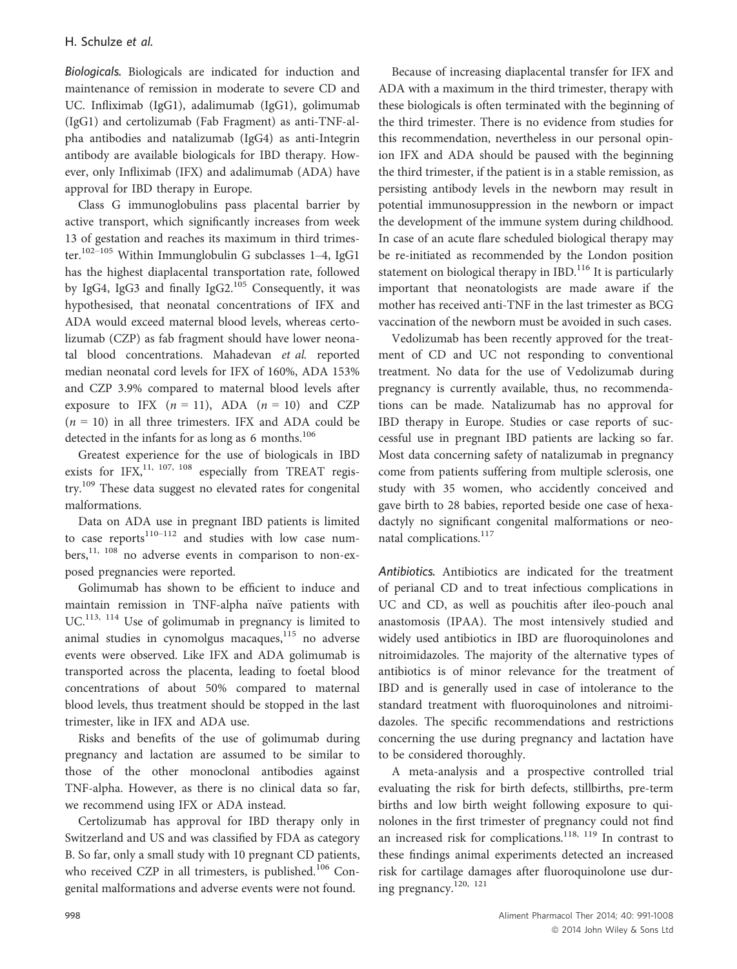Biologicals. Biologicals are indicated for induction and maintenance of remission in moderate to severe CD and UC. Infliximab (IgG1), adalimumab (IgG1), golimumab (IgG1) and certolizumab (Fab Fragment) as anti-TNF-alpha antibodies and natalizumab (IgG4) as anti-Integrin antibody are available biologicals for IBD therapy. However, only Infliximab (IFX) and adalimumab (ADA) have approval for IBD therapy in Europe.

Class G immunoglobulins pass placental barrier by active transport, which significantly increases from week 13 of gestation and reaches its maximum in third trimester.102–<sup>105</sup> Within Immunglobulin G subclasses 1–4, IgG1 has the highest diaplacental transportation rate, followed by IgG4, IgG3 and finally IgG2. $105$  Consequently, it was hypothesised, that neonatal concentrations of IFX and ADA would exceed maternal blood levels, whereas certolizumab (CZP) as fab fragment should have lower neonatal blood concentrations. Mahadevan et al. reported median neonatal cord levels for IFX of 160%, ADA 153% and CZP 3.9% compared to maternal blood levels after exposure to IFX  $(n = 11)$ , ADA  $(n = 10)$  and CZP  $(n = 10)$  in all three trimesters. IFX and ADA could be detected in the infants for as long as 6 months.<sup>106</sup>

Greatest experience for the use of biologicals in IBD exists for IFX,<sup>11, 107, 108</sup> especially from TREAT registry.<sup>109</sup> These data suggest no elevated rates for congenital malformations.

Data on ADA use in pregnant IBD patients is limited to case reports $110-112$  and studies with low case numbers, $11, 108$  no adverse events in comparison to non-exposed pregnancies were reported.

Golimumab has shown to be efficient to induce and maintain remission in TNF-alpha naïve patients with UC.<sup>113, 114</sup> Use of golimumab in pregnancy is limited to animal studies in cynomolgus macaques, $115$  no adverse events were observed. Like IFX and ADA golimumab is transported across the placenta, leading to foetal blood concentrations of about 50% compared to maternal blood levels, thus treatment should be stopped in the last trimester, like in IFX and ADA use.

Risks and benefits of the use of golimumab during pregnancy and lactation are assumed to be similar to those of the other monoclonal antibodies against TNF-alpha. However, as there is no clinical data so far, we recommend using IFX or ADA instead.

Certolizumab has approval for IBD therapy only in Switzerland and US and was classified by FDA as category B. So far, only a small study with 10 pregnant CD patients, who received CZP in all trimesters, is published.<sup>106</sup> Congenital malformations and adverse events were not found.

Because of increasing diaplacental transfer for IFX and ADA with a maximum in the third trimester, therapy with these biologicals is often terminated with the beginning of the third trimester. There is no evidence from studies for this recommendation, nevertheless in our personal opinion IFX and ADA should be paused with the beginning the third trimester, if the patient is in a stable remission, as persisting antibody levels in the newborn may result in potential immunosuppression in the newborn or impact the development of the immune system during childhood. In case of an acute flare scheduled biological therapy may be re-initiated as recommended by the London position statement on biological therapy in IBD.<sup>116</sup> It is particularly important that neonatologists are made aware if the mother has received anti-TNF in the last trimester as BCG vaccination of the newborn must be avoided in such cases.

Vedolizumab has been recently approved for the treatment of CD and UC not responding to conventional treatment. No data for the use of Vedolizumab during pregnancy is currently available, thus, no recommendations can be made. Natalizumab has no approval for IBD therapy in Europe. Studies or case reports of successful use in pregnant IBD patients are lacking so far. Most data concerning safety of natalizumab in pregnancy come from patients suffering from multiple sclerosis, one study with 35 women, who accidently conceived and gave birth to 28 babies, reported beside one case of hexadactyly no significant congenital malformations or neonatal complications.<sup>117</sup>

Antibiotics. Antibiotics are indicated for the treatment of perianal CD and to treat infectious complications in UC and CD, as well as pouchitis after ileo-pouch anal anastomosis (IPAA). The most intensively studied and widely used antibiotics in IBD are fluoroquinolones and nitroimidazoles. The majority of the alternative types of antibiotics is of minor relevance for the treatment of IBD and is generally used in case of intolerance to the standard treatment with fluoroquinolones and nitroimidazoles. The specific recommendations and restrictions concerning the use during pregnancy and lactation have to be considered thoroughly.

A meta-analysis and a prospective controlled trial evaluating the risk for birth defects, stillbirths, pre-term births and low birth weight following exposure to quinolones in the first trimester of pregnancy could not find an increased risk for complications.<sup>118, 119</sup> In contrast to these findings animal experiments detected an increased risk for cartilage damages after fluoroquinolone use during pregnancy.120, 121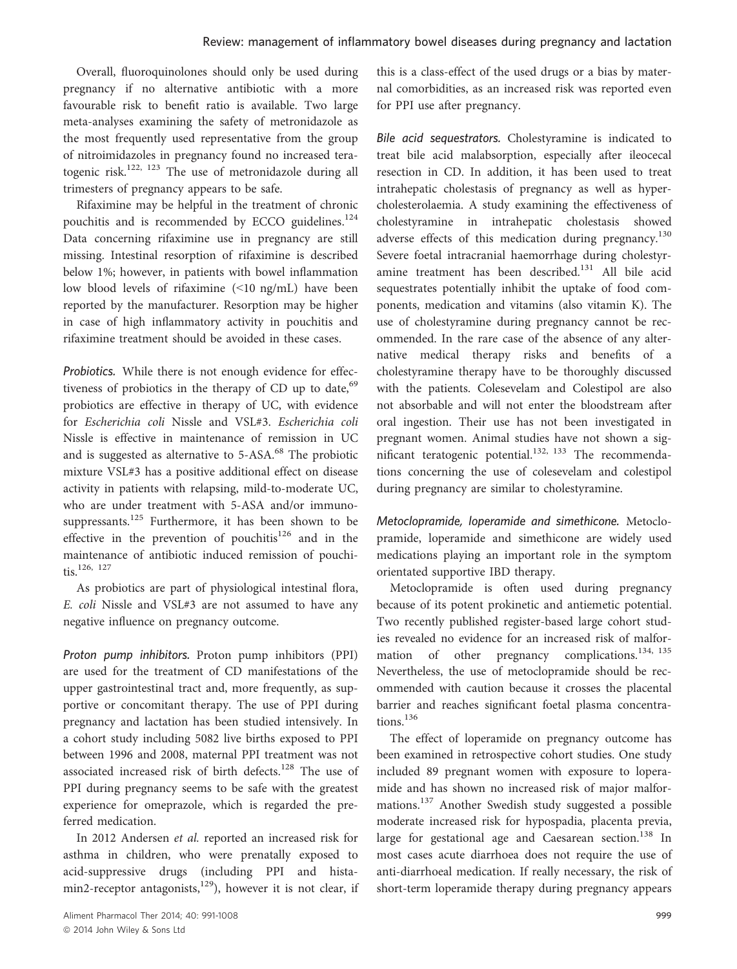Overall, fluoroquinolones should only be used during pregnancy if no alternative antibiotic with a more favourable risk to benefit ratio is available. Two large meta-analyses examining the safety of metronidazole as the most frequently used representative from the group of nitroimidazoles in pregnancy found no increased teratogenic risk.<sup>122, 123</sup> The use of metronidazole during all trimesters of pregnancy appears to be safe.

Rifaximine may be helpful in the treatment of chronic pouchitis and is recommended by ECCO guidelines.<sup>124</sup> Data concerning rifaximine use in pregnancy are still missing. Intestinal resorption of rifaximine is described below 1%; however, in patients with bowel inflammation low blood levels of rifaximine (<10 ng/mL) have been reported by the manufacturer. Resorption may be higher in case of high inflammatory activity in pouchitis and rifaximine treatment should be avoided in these cases.

Probiotics. While there is not enough evidence for effectiveness of probiotics in the therapy of CD up to date,  $69$ probiotics are effective in therapy of UC, with evidence for Escherichia coli Nissle and VSL#3. Escherichia coli Nissle is effective in maintenance of remission in UC and is suggested as alternative to 5-ASA.<sup>68</sup> The probiotic mixture VSL#3 has a positive additional effect on disease activity in patients with relapsing, mild-to-moderate UC, who are under treatment with 5-ASA and/or immunosuppressants.<sup>125</sup> Furthermore, it has been shown to be effective in the prevention of pouchitis<sup>126</sup> and in the maintenance of antibiotic induced remission of pouchitis.<sup>126, 127</sup>

As probiotics are part of physiological intestinal flora, E. coli Nissle and VSL#3 are not assumed to have any negative influence on pregnancy outcome.

Proton pump inhibitors. Proton pump inhibitors (PPI) are used for the treatment of CD manifestations of the upper gastrointestinal tract and, more frequently, as supportive or concomitant therapy. The use of PPI during pregnancy and lactation has been studied intensively. In a cohort study including 5082 live births exposed to PPI between 1996 and 2008, maternal PPI treatment was not associated increased risk of birth defects.<sup>128</sup> The use of PPI during pregnancy seems to be safe with the greatest experience for omeprazole, which is regarded the preferred medication.

In 2012 Andersen et al. reported an increased risk for asthma in children, who were prenatally exposed to acid-suppressive drugs (including PPI and histamin2-receptor antagonists, $^{129}$ ), however it is not clear, if this is a class-effect of the used drugs or a bias by maternal comorbidities, as an increased risk was reported even for PPI use after pregnancy.

Bile acid sequestrators. Cholestyramine is indicated to treat bile acid malabsorption, especially after ileocecal resection in CD. In addition, it has been used to treat intrahepatic cholestasis of pregnancy as well as hypercholesterolaemia. A study examining the effectiveness of cholestyramine in intrahepatic cholestasis showed adverse effects of this medication during pregnancy.<sup>130</sup> Severe foetal intracranial haemorrhage during cholestyramine treatment has been described.<sup>131</sup> All bile acid sequestrates potentially inhibit the uptake of food components, medication and vitamins (also vitamin K). The use of cholestyramine during pregnancy cannot be recommended. In the rare case of the absence of any alternative medical therapy risks and benefits of a cholestyramine therapy have to be thoroughly discussed with the patients. Colesevelam and Colestipol are also not absorbable and will not enter the bloodstream after oral ingestion. Their use has not been investigated in pregnant women. Animal studies have not shown a significant teratogenic potential.<sup>132, 133</sup> The recommendations concerning the use of colesevelam and colestipol during pregnancy are similar to cholestyramine.

Metoclopramide, loperamide and simethicone. Metoclopramide, loperamide and simethicone are widely used medications playing an important role in the symptom orientated supportive IBD therapy.

Metoclopramide is often used during pregnancy because of its potent prokinetic and antiemetic potential. Two recently published register-based large cohort studies revealed no evidence for an increased risk of malformation of other pregnancy complications.<sup>134, 135</sup> Nevertheless, the use of metoclopramide should be recommended with caution because it crosses the placental barrier and reaches significant foetal plasma concentrations.<sup>136</sup>

The effect of loperamide on pregnancy outcome has been examined in retrospective cohort studies. One study included 89 pregnant women with exposure to loperamide and has shown no increased risk of major malformations.<sup>137</sup> Another Swedish study suggested a possible moderate increased risk for hypospadia, placenta previa, large for gestational age and Caesarean section.<sup>138</sup> In most cases acute diarrhoea does not require the use of anti-diarrhoeal medication. If really necessary, the risk of short-term loperamide therapy during pregnancy appears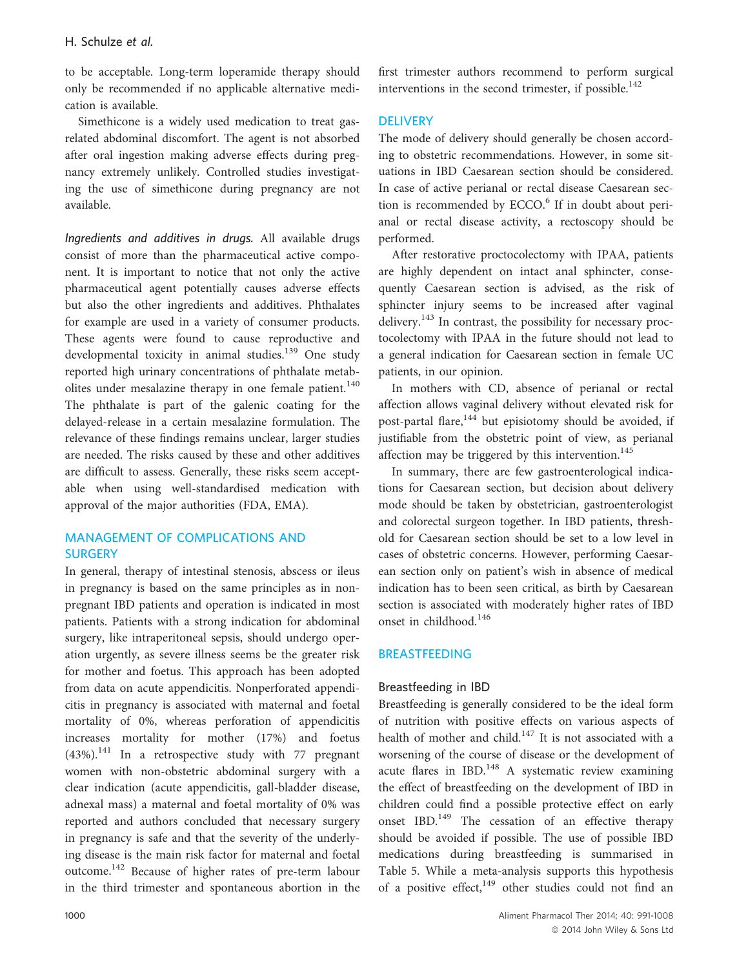to be acceptable. Long-term loperamide therapy should only be recommended if no applicable alternative medication is available.

Simethicone is a widely used medication to treat gasrelated abdominal discomfort. The agent is not absorbed after oral ingestion making adverse effects during pregnancy extremely unlikely. Controlled studies investigating the use of simethicone during pregnancy are not available.

Ingredients and additives in drugs. All available drugs consist of more than the pharmaceutical active component. It is important to notice that not only the active pharmaceutical agent potentially causes adverse effects but also the other ingredients and additives. Phthalates for example are used in a variety of consumer products. These agents were found to cause reproductive and developmental toxicity in animal studies.<sup>139</sup> One study reported high urinary concentrations of phthalate metabolites under mesalazine therapy in one female patient.<sup>140</sup> The phthalate is part of the galenic coating for the delayed-release in a certain mesalazine formulation. The relevance of these findings remains unclear, larger studies are needed. The risks caused by these and other additives are difficult to assess. Generally, these risks seem acceptable when using well-standardised medication with approval of the major authorities (FDA, EMA).

## MANAGEMENT OF COMPLICATIONS AND **SURGERY**

In general, therapy of intestinal stenosis, abscess or ileus in pregnancy is based on the same principles as in nonpregnant IBD patients and operation is indicated in most patients. Patients with a strong indication for abdominal surgery, like intraperitoneal sepsis, should undergo operation urgently, as severe illness seems be the greater risk for mother and foetus. This approach has been adopted from data on acute appendicitis. Nonperforated appendicitis in pregnancy is associated with maternal and foetal mortality of 0%, whereas perforation of appendicitis increases mortality for mother (17%) and foetus  $(43\%)$ .<sup>141</sup> In a retrospective study with 77 pregnant women with non-obstetric abdominal surgery with a clear indication (acute appendicitis, gall-bladder disease, adnexal mass) a maternal and foetal mortality of 0% was reported and authors concluded that necessary surgery in pregnancy is safe and that the severity of the underlying disease is the main risk factor for maternal and foetal outcome.142 Because of higher rates of pre-term labour in the third trimester and spontaneous abortion in the first trimester authors recommend to perform surgical interventions in the second trimester, if possible. $^{142}$ 

#### DELIVERY

The mode of delivery should generally be chosen according to obstetric recommendations. However, in some situations in IBD Caesarean section should be considered. In case of active perianal or rectal disease Caesarean section is recommended by  $ECCO<sup>6</sup>$  If in doubt about perianal or rectal disease activity, a rectoscopy should be performed.

After restorative proctocolectomy with IPAA, patients are highly dependent on intact anal sphincter, consequently Caesarean section is advised, as the risk of sphincter injury seems to be increased after vaginal delivery.<sup>143</sup> In contrast, the possibility for necessary proctocolectomy with IPAA in the future should not lead to a general indication for Caesarean section in female UC patients, in our opinion.

In mothers with CD, absence of perianal or rectal affection allows vaginal delivery without elevated risk for post-partal flare,<sup>144</sup> but episiotomy should be avoided, if justifiable from the obstetric point of view, as perianal affection may be triggered by this intervention.<sup>145</sup>

In summary, there are few gastroenterological indications for Caesarean section, but decision about delivery mode should be taken by obstetrician, gastroenterologist and colorectal surgeon together. In IBD patients, threshold for Caesarean section should be set to a low level in cases of obstetric concerns. However, performing Caesarean section only on patient's wish in absence of medical indication has to been seen critical, as birth by Caesarean section is associated with moderately higher rates of IBD onset in childhood.<sup>146</sup>

#### BREASTFEEDING

#### Breastfeeding in IBD

Breastfeeding is generally considered to be the ideal form of nutrition with positive effects on various aspects of health of mother and child.<sup>147</sup> It is not associated with a worsening of the course of disease or the development of acute flares in  $IBD<sup>148</sup>$  A systematic review examining the effect of breastfeeding on the development of IBD in children could find a possible protective effect on early onset IBD.<sup>149</sup> The cessation of an effective therapy should be avoided if possible. The use of possible IBD medications during breastfeeding is summarised in Table 5. While a meta-analysis supports this hypothesis of a positive effect,<sup>149</sup> other studies could not find an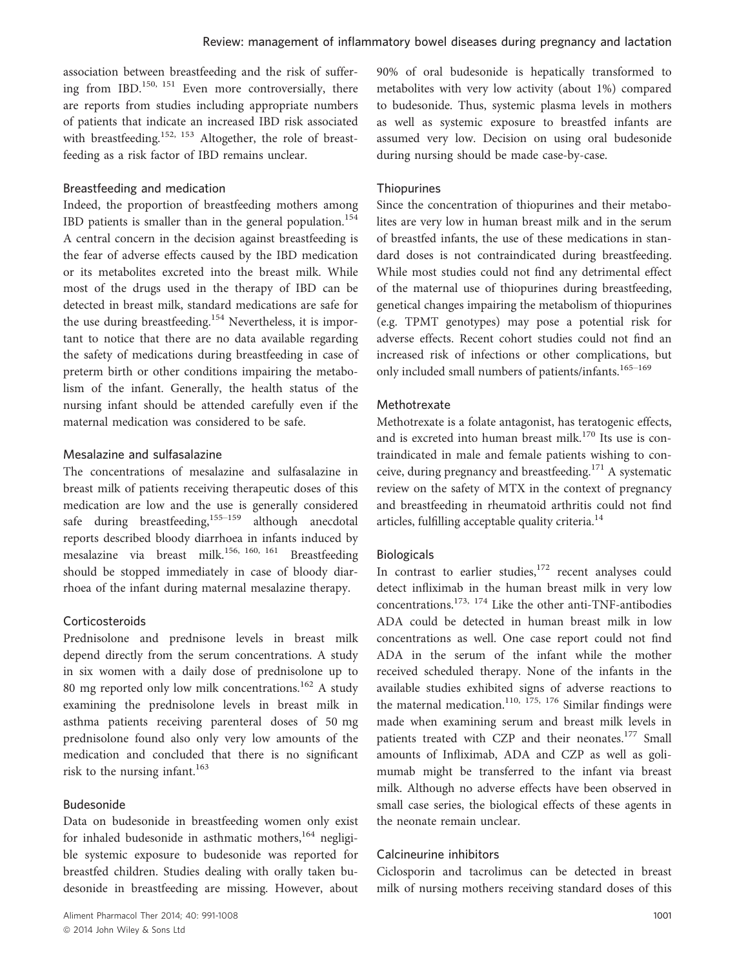association between breastfeeding and the risk of suffering from IBD.<sup>150, 151</sup> Even more controversially, there are reports from studies including appropriate numbers of patients that indicate an increased IBD risk associated with breastfeeding.<sup>152, 153</sup> Altogether, the role of breastfeeding as a risk factor of IBD remains unclear.

#### Breastfeeding and medication

Indeed, the proportion of breastfeeding mothers among IBD patients is smaller than in the general population.<sup>154</sup> A central concern in the decision against breastfeeding is the fear of adverse effects caused by the IBD medication or its metabolites excreted into the breast milk. While most of the drugs used in the therapy of IBD can be detected in breast milk, standard medications are safe for the use during breastfeeding.<sup>154</sup> Nevertheless, it is important to notice that there are no data available regarding the safety of medications during breastfeeding in case of preterm birth or other conditions impairing the metabolism of the infant. Generally, the health status of the nursing infant should be attended carefully even if the maternal medication was considered to be safe.

## Mesalazine and sulfasalazine

The concentrations of mesalazine and sulfasalazine in breast milk of patients receiving therapeutic doses of this medication are low and the use is generally considered safe during breastfeeding, $155-159$  although anecdotal reports described bloody diarrhoea in infants induced by mesalazine via breast milk.156, 160, 161 Breastfeeding should be stopped immediately in case of bloody diarrhoea of the infant during maternal mesalazine therapy.

#### **Corticosteroids**

Prednisolone and prednisone levels in breast milk depend directly from the serum concentrations. A study in six women with a daily dose of prednisolone up to 80 mg reported only low milk concentrations.<sup>162</sup> A study examining the prednisolone levels in breast milk in asthma patients receiving parenteral doses of 50 mg prednisolone found also only very low amounts of the medication and concluded that there is no significant risk to the nursing infant.<sup>163</sup>

#### Budesonide

Data on budesonide in breastfeeding women only exist for inhaled budesonide in asthmatic mothers, $164$  negligible systemic exposure to budesonide was reported for breastfed children. Studies dealing with orally taken budesonide in breastfeeding are missing. However, about 90% of oral budesonide is hepatically transformed to metabolites with very low activity (about 1%) compared to budesonide. Thus, systemic plasma levels in mothers as well as systemic exposure to breastfed infants are assumed very low. Decision on using oral budesonide during nursing should be made case-by-case.

#### **Thiopurines**

Since the concentration of thiopurines and their metabolites are very low in human breast milk and in the serum of breastfed infants, the use of these medications in standard doses is not contraindicated during breastfeeding. While most studies could not find any detrimental effect of the maternal use of thiopurines during breastfeeding, genetical changes impairing the metabolism of thiopurines (e.g. TPMT genotypes) may pose a potential risk for adverse effects. Recent cohort studies could not find an increased risk of infections or other complications, but only included small numbers of patients/infants.<sup>165-169</sup>

## Methotrexate

Methotrexate is a folate antagonist, has teratogenic effects, and is excreted into human breast milk.<sup>170</sup> Its use is contraindicated in male and female patients wishing to conceive, during pregnancy and breastfeeding.<sup>171</sup> A systematic review on the safety of MTX in the context of pregnancy and breastfeeding in rheumatoid arthritis could not find articles, fulfilling acceptable quality criteria.<sup>14</sup>

#### Biologicals

In contrast to earlier studies, $172$  recent analyses could detect infliximab in the human breast milk in very low concentrations.173, 174 Like the other anti-TNF-antibodies ADA could be detected in human breast milk in low concentrations as well. One case report could not find ADA in the serum of the infant while the mother received scheduled therapy. None of the infants in the available studies exhibited signs of adverse reactions to the maternal medication.<sup>110, 175, 176</sup> Similar findings were made when examining serum and breast milk levels in patients treated with CZP and their neonates.<sup>177</sup> Small amounts of Infliximab, ADA and CZP as well as golimumab might be transferred to the infant via breast milk. Although no adverse effects have been observed in small case series, the biological effects of these agents in the neonate remain unclear.

## Calcineurine inhibitors

Ciclosporin and tacrolimus can be detected in breast milk of nursing mothers receiving standard doses of this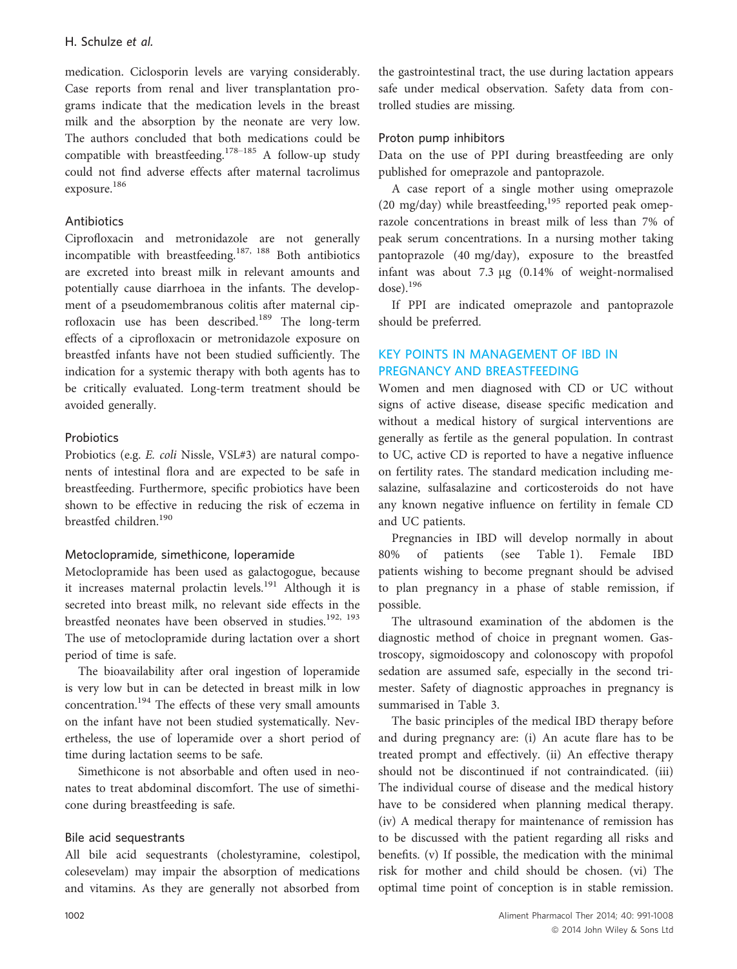medication. Ciclosporin levels are varying considerably. Case reports from renal and liver transplantation programs indicate that the medication levels in the breast milk and the absorption by the neonate are very low. The authors concluded that both medications could be compatible with breastfeeding.178–<sup>185</sup> A follow-up study could not find adverse effects after maternal tacrolimus exposure.<sup>186</sup>

## Antibiotics

Ciprofloxacin and metronidazole are not generally incompatible with breastfeeding.187, 188 Both antibiotics are excreted into breast milk in relevant amounts and potentially cause diarrhoea in the infants. The development of a pseudomembranous colitis after maternal ciprofloxacin use has been described.<sup>189</sup> The long-term effects of a ciprofloxacin or metronidazole exposure on breastfed infants have not been studied sufficiently. The indication for a systemic therapy with both agents has to be critically evaluated. Long-term treatment should be avoided generally.

## **Probiotics**

Probiotics (e.g. E. coli Nissle, VSL#3) are natural components of intestinal flora and are expected to be safe in breastfeeding. Furthermore, specific probiotics have been shown to be effective in reducing the risk of eczema in breastfed children.<sup>190</sup>

## Metoclopramide, simethicone, loperamide

Metoclopramide has been used as galactogogue, because it increases maternal prolactin levels.<sup>191</sup> Although it is secreted into breast milk, no relevant side effects in the breastfed neonates have been observed in studies.<sup>192, 193</sup> The use of metoclopramide during lactation over a short period of time is safe.

The bioavailability after oral ingestion of loperamide is very low but in can be detected in breast milk in low concentration.<sup>194</sup> The effects of these very small amounts on the infant have not been studied systematically. Nevertheless, the use of loperamide over a short period of time during lactation seems to be safe.

Simethicone is not absorbable and often used in neonates to treat abdominal discomfort. The use of simethicone during breastfeeding is safe.

## Bile acid sequestrants

All bile acid sequestrants (cholestyramine, colestipol, colesevelam) may impair the absorption of medications and vitamins. As they are generally not absorbed from the gastrointestinal tract, the use during lactation appears safe under medical observation. Safety data from controlled studies are missing.

## Proton pump inhibitors

Data on the use of PPI during breastfeeding are only published for omeprazole and pantoprazole.

A case report of a single mother using omeprazole (20 mg/day) while breastfeeding,<sup>195</sup> reported peak omeprazole concentrations in breast milk of less than 7% of peak serum concentrations. In a nursing mother taking pantoprazole (40 mg/day), exposure to the breastfed infant was about 7.3  $\mu$ g (0.14% of weight-normalised  $dose$ ).<sup>196</sup>

If PPI are indicated omeprazole and pantoprazole should be preferred.

# KEY POINTS IN MANAGEMENT OF IBD IN PREGNANCY AND BREASTFEEDING

Women and men diagnosed with CD or UC without signs of active disease, disease specific medication and without a medical history of surgical interventions are generally as fertile as the general population. In contrast to UC, active CD is reported to have a negative influence on fertility rates. The standard medication including mesalazine, sulfasalazine and corticosteroids do not have any known negative influence on fertility in female CD and UC patients.

Pregnancies in IBD will develop normally in about 80% of patients (see Table 1). Female IBD patients wishing to become pregnant should be advised to plan pregnancy in a phase of stable remission, if possible.

The ultrasound examination of the abdomen is the diagnostic method of choice in pregnant women. Gastroscopy, sigmoidoscopy and colonoscopy with propofol sedation are assumed safe, especially in the second trimester. Safety of diagnostic approaches in pregnancy is summarised in Table 3.

The basic principles of the medical IBD therapy before and during pregnancy are: (i) An acute flare has to be treated prompt and effectively. (ii) An effective therapy should not be discontinued if not contraindicated. (iii) The individual course of disease and the medical history have to be considered when planning medical therapy. (iv) A medical therapy for maintenance of remission has to be discussed with the patient regarding all risks and benefits. (v) If possible, the medication with the minimal risk for mother and child should be chosen. (vi) The optimal time point of conception is in stable remission.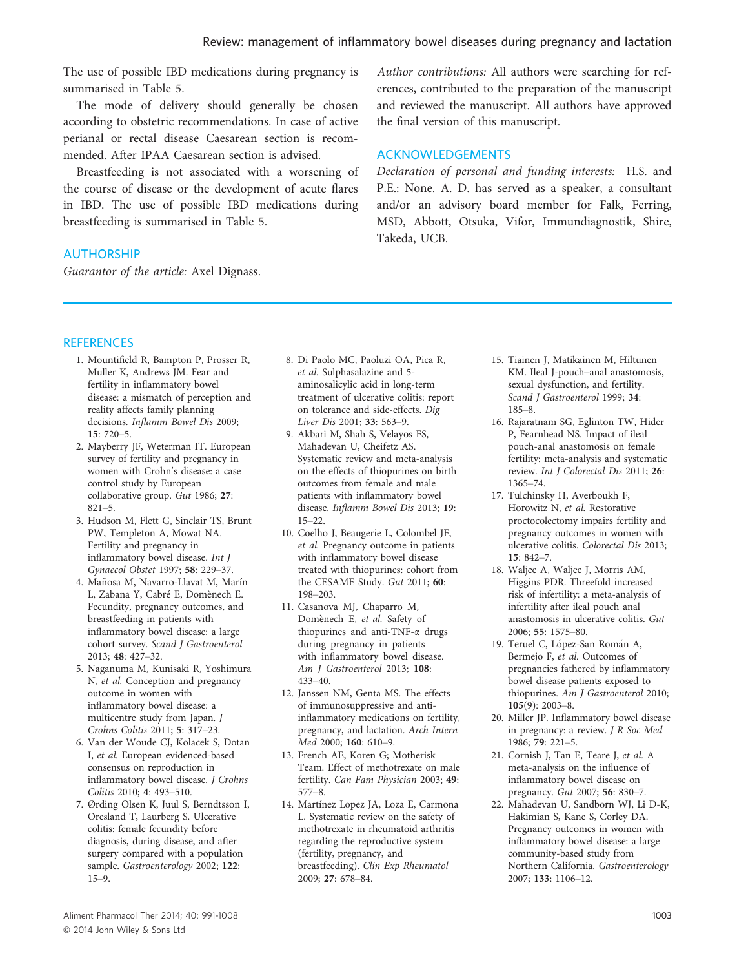The use of possible IBD medications during pregnancy is summarised in Table 5.

The mode of delivery should generally be chosen according to obstetric recommendations. In case of active perianal or rectal disease Caesarean section is recommended. After IPAA Caesarean section is advised.

Breastfeeding is not associated with a worsening of the course of disease or the development of acute flares in IBD. The use of possible IBD medications during breastfeeding is summarised in Table 5.

## AUTHORSHIP

Guarantor of the article: Axel Dignass.

Author contributions: All authors were searching for references, contributed to the preparation of the manuscript and reviewed the manuscript. All authors have approved the final version of this manuscript.

## ACKNOWLEDGEMENTS

Declaration of personal and funding interests: H.S. and P.E.: None. A. D. has served as a speaker, a consultant and/or an advisory board member for Falk, Ferring, MSD, Abbott, Otsuka, Vifor, Immundiagnostik, Shire, Takeda, UCB.

## **REFERENCES**

- 1. Mountifield R, Bampton P, Prosser R, Muller K, Andrews JM. Fear and fertility in inflammatory bowel disease: a mismatch of perception and reality affects family planning decisions. Inflamm Bowel Dis 2009; 15: 720–5.
- 2. Mayberry JF, Weterman IT. European survey of fertility and pregnancy in women with Crohn's disease: a case control study by European collaborative group. Gut 1986; 27: 821–5.
- 3. Hudson M, Flett G, Sinclair TS, Brunt PW, Templeton A, Mowat NA. Fertility and pregnancy in inflammatory bowel disease. Int J Gynaecol Obstet 1997; 58: 229–37.
- 4. Mañosa M, Navarro-Llavat M, Marín L, Zabana Y, Cabré E, Domènech E. Fecundity, pregnancy outcomes, and breastfeeding in patients with inflammatory bowel disease: a large cohort survey. Scand J Gastroenterol 2013; 48: 427–32.
- 5. Naganuma M, Kunisaki R, Yoshimura N, et al. Conception and pregnancy outcome in women with inflammatory bowel disease: a multicentre study from Japan. J Crohns Colitis 2011; 5: 317–23.
- 6. Van der Woude CJ, Kolacek S, Dotan I, et al. European evidenced-based consensus on reproduction in inflammatory bowel disease. J Crohns Colitis 2010; 4: 493–510.
- 7. Ørding Olsen K, Juul S, Berndtsson I, Oresland T, Laurberg S. Ulcerative colitis: female fecundity before diagnosis, during disease, and after surgery compared with a population sample. Gastroenterology 2002; 122: 15–9.
- 8. Di Paolo MC, Paoluzi OA, Pica R, et al. Sulphasalazine and 5 aminosalicylic acid in long-term treatment of ulcerative colitis: report on tolerance and side-effects. Dig Liver Dis 2001; 33: 563–9.
- 9. Akbari M, Shah S, Velayos FS, Mahadevan U, Cheifetz AS. Systematic review and meta-analysis on the effects of thiopurines on birth outcomes from female and male patients with inflammatory bowel disease. Inflamm Bowel Dis 2013; 19: 15–22.
- 10. Coelho J, Beaugerie L, Colombel JF, et al. Pregnancy outcome in patients with inflammatory bowel disease treated with thiopurines: cohort from the CESAME Study. Gut 2011; 60: 198–203.
- 11. Casanova MJ, Chaparro M, Domènech E, et al. Safety of thiopurines and anti-TNF- $\alpha$  drugs during pregnancy in patients with inflammatory bowel disease. Am J Gastroenterol 2013; 108: 433–40.
- 12. Janssen NM, Genta MS. The effects of immunosuppressive and antiinflammatory medications on fertility, pregnancy, and lactation. Arch Intern Med 2000; 160: 610–9.
- 13. French AE, Koren G; Motherisk Team. Effect of methotrexate on male fertility. Can Fam Physician 2003; 49: 577–8.
- 14. Martínez Lopez JA, Loza E, Carmona L. Systematic review on the safety of methotrexate in rheumatoid arthritis regarding the reproductive system (fertility, pregnancy, and breastfeeding). Clin Exp Rheumatol 2009; 27: 678–84.
- 15. Tiainen J, Matikainen M, Hiltunen KM. Ileal J-pouch–anal anastomosis, sexual dysfunction, and fertility. Scand J Gastroenterol 1999; 34: 185–8.
- 16. Rajaratnam SG, Eglinton TW, Hider P, Fearnhead NS. Impact of ileal pouch-anal anastomosis on female fertility: meta-analysis and systematic review. Int J Colorectal Dis 2011; 26: 1365–74.
- 17. Tulchinsky H, Averboukh F, Horowitz N, et al. Restorative proctocolectomy impairs fertility and pregnancy outcomes in women with ulcerative colitis. Colorectal Dis 2013; 15: 842–7.
- 18. Waljee A, Waljee J, Morris AM, Higgins PDR. Threefold increased risk of infertility: a meta-analysis of infertility after ileal pouch anal anastomosis in ulcerative colitis. Gut 2006; 55: 1575–80.
- 19. Teruel C, López-San Román A, Bermejo F, et al. Outcomes of pregnancies fathered by inflammatory bowel disease patients exposed to thiopurines. Am J Gastroenterol 2010; 105(9): 2003–8.
- 20. Miller JP. Inflammatory bowel disease in pregnancy: a review. J R Soc Med 1986; 79: 221–5.
- 21. Cornish J, Tan E, Teare J, et al. A meta-analysis on the influence of inflammatory bowel disease on pregnancy. Gut 2007; 56: 830–7.
- 22. Mahadevan U, Sandborn WJ, Li D-K, Hakimian S, Kane S, Corley DA. Pregnancy outcomes in women with inflammatory bowel disease: a large community-based study from Northern California. Gastroenterology 2007; 133: 1106–12.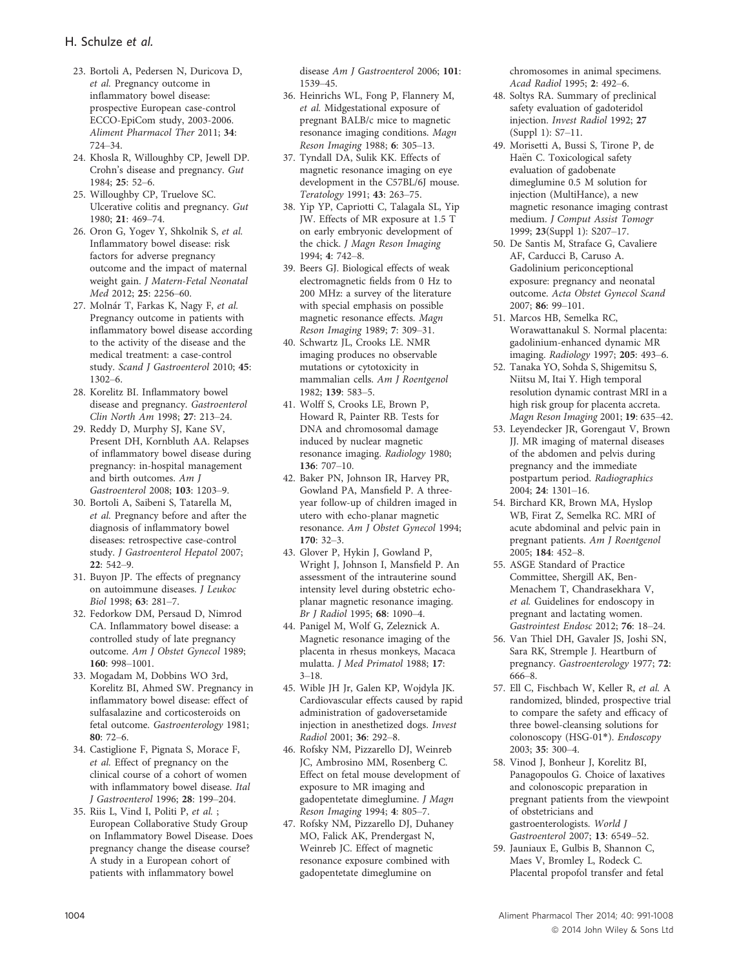## H. Schulze et al.

- 23. Bortoli A, Pedersen N, Duricova D, et al. Pregnancy outcome in inflammatory bowel disease: prospective European case-control ECCO-EpiCom study, 2003-2006. Aliment Pharmacol Ther 2011; 34: 724–34.
- 24. Khosla R, Willoughby CP, Jewell DP. Crohn's disease and pregnancy. Gut 1984; 25: 52–6.
- 25. Willoughby CP, Truelove SC. Ulcerative colitis and pregnancy. Gut 1980; 21: 469–74.
- 26. Oron G, Yogev Y, Shkolnik S, et al. Inflammatory bowel disease: risk factors for adverse pregnancy outcome and the impact of maternal weight gain. J Matern-Fetal Neonatal Med 2012; 25: 2256–60.
- 27. Molnár T, Farkas K, Nagy F, *et al*. Pregnancy outcome in patients with inflammatory bowel disease according to the activity of the disease and the medical treatment: a case-control study. Scand J Gastroenterol 2010; 45: 1302–6.
- 28. Korelitz BI. Inflammatory bowel disease and pregnancy. Gastroenterol Clin North Am 1998; 27: 213–24.
- 29. Reddy D, Murphy SJ, Kane SV, Present DH, Kornbluth AA. Relapses of inflammatory bowel disease during pregnancy: in-hospital management and birth outcomes. Am J Gastroenterol 2008; 103: 1203–9.
- 30. Bortoli A, Saibeni S, Tatarella M, et al. Pregnancy before and after the diagnosis of inflammatory bowel diseases: retrospective case-control study. J Gastroenterol Hepatol 2007; 22: 542–9.
- 31. Buyon JP. The effects of pregnancy on autoimmune diseases. J Leukoc Biol 1998; 63: 281–7.
- 32. Fedorkow DM, Persaud D, Nimrod CA. Inflammatory bowel disease: a controlled study of late pregnancy outcome. Am J Obstet Gynecol 1989; 160: 998–1001.
- 33. Mogadam M, Dobbins WO 3rd, Korelitz BI, Ahmed SW. Pregnancy in inflammatory bowel disease: effect of sulfasalazine and corticosteroids on fetal outcome. Gastroenterology 1981; 80: 72–6.
- 34. Castiglione F, Pignata S, Morace F, et al. Effect of pregnancy on the clinical course of a cohort of women with inflammatory bowel disease. Ital J Gastroenterol 1996; 28: 199–204.
- 35. Riis L, Vind I, Politi P, et al. ; European Collaborative Study Group on Inflammatory Bowel Disease. Does pregnancy change the disease course? A study in a European cohort of patients with inflammatory bowel

disease Am J Gastroenterol 2006; 101: 1539–45.

- 36. Heinrichs WL, Fong P, Flannery M, et al. Midgestational exposure of pregnant BALB/c mice to magnetic resonance imaging conditions. Magn Reson Imaging 1988; 6: 305–13.
- 37. Tyndall DA, Sulik KK. Effects of magnetic resonance imaging on eye development in the C57BL/6J mouse. Teratology 1991; 43: 263–75.
- 38. Yip YP, Capriotti C, Talagala SL, Yip JW. Effects of MR exposure at 1.5 T on early embryonic development of the chick. J Magn Reson Imaging 1994; 4: 742–8.
- 39. Beers GJ. Biological effects of weak electromagnetic fields from 0 Hz to 200 MHz: a survey of the literature with special emphasis on possible magnetic resonance effects. Magn Reson Imaging 1989; 7: 309–31.
- 40. Schwartz JL, Crooks LE. NMR imaging produces no observable mutations or cytotoxicity in mammalian cells. Am J Roentgenol 1982; 139: 583–5.
- 41. Wolff S, Crooks LE, Brown P, Howard R, Painter RB. Tests for DNA and chromosomal damage induced by nuclear magnetic resonance imaging. Radiology 1980; 136: 707–10.
- 42. Baker PN, Johnson IR, Harvey PR, Gowland PA, Mansfield P. A threeyear follow-up of children imaged in utero with echo-planar magnetic resonance. Am J Obstet Gynecol 1994;  $170 \cdot 32 - 3$
- 43. Glover P, Hykin J, Gowland P, Wright J, Johnson I, Mansfield P. An assessment of the intrauterine sound intensity level during obstetric echoplanar magnetic resonance imaging. Br J Radiol 1995; 68: 1090–4.
- 44. Panigel M, Wolf G, Zeleznick A. Magnetic resonance imaging of the placenta in rhesus monkeys, Macaca mulatta. J Med Primatol 1988; 17: 3–18.
- 45. Wible JH Jr, Galen KP, Wojdyla JK. Cardiovascular effects caused by rapid administration of gadoversetamide injection in anesthetized dogs. Invest Radiol 2001; 36: 292–8.
- 46. Rofsky NM, Pizzarello DJ, Weinreb JC, Ambrosino MM, Rosenberg C. Effect on fetal mouse development of exposure to MR imaging and gadopentetate dimeglumine. J Magn Reson Imaging 1994; 4: 805–7.
- 47. Rofsky NM, Pizzarello DJ, Duhaney MO, Falick AK, Prendergast N, Weinreb JC. Effect of magnetic resonance exposure combined with gadopentetate dimeglumine on

chromosomes in animal specimens. Acad Radiol 1995; 2: 492–6.

- 48. Soltys RA. Summary of preclinical safety evaluation of gadoteridol injection. Invest Radiol 1992; 27 (Suppl 1): S7–11.
- 49. Morisetti A, Bussi S, Tirone P, de Haën C. Toxicological safety evaluation of gadobenate dimeglumine 0.5 M solution for injection (MultiHance), a new magnetic resonance imaging contrast medium. J Comput Assist Tomogr 1999; 23(Suppl 1): S207–17.
- 50. De Santis M, Straface G, Cavaliere AF, Carducci B, Caruso A. Gadolinium periconceptional exposure: pregnancy and neonatal outcome. Acta Obstet Gynecol Scand 2007; 86: 99–101.
- 51. Marcos HB, Semelka RC, Worawattanakul S. Normal placenta: gadolinium-enhanced dynamic MR imaging. Radiology 1997; 205: 493-6.
- 52. Tanaka YO, Sohda S, Shigemitsu S, Niitsu M, Itai Y. High temporal resolution dynamic contrast MRI in a high risk group for placenta accreta. Magn Reson Imaging 2001; 19: 635–42.
- 53. Leyendecker JR, Gorengaut V, Brown JJ. MR imaging of maternal diseases of the abdomen and pelvis during pregnancy and the immediate postpartum period. Radiographics 2004; 24: 1301–16.
- 54. Birchard KR, Brown MA, Hyslop WB, Firat Z, Semelka RC. MRI of acute abdominal and pelvic pain in pregnant patients. Am J Roentgenol 2005; 184: 452–8.
- 55. ASGE Standard of Practice Committee, Shergill AK, Ben-Menachem T, Chandrasekhara V, et al. Guidelines for endoscopy in pregnant and lactating women. Gastrointest Endosc 2012; 76: 18–24.
- 56. Van Thiel DH, Gavaler JS, Joshi SN, Sara RK, Stremple J. Heartburn of pregnancy. Gastroenterology 1977; 72: 666–8.
- 57. Ell C, Fischbach W, Keller R, et al. A randomized, blinded, prospective trial to compare the safety and efficacy of three bowel-cleansing solutions for colonoscopy (HSG-01\*). Endoscopy 2003; 35: 300–4.
- 58. Vinod J, Bonheur J, Korelitz BI, Panagopoulos G. Choice of laxatives and colonoscopic preparation in pregnant patients from the viewpoint of obstetricians and gastroenterologists. World J Gastroenterol 2007; 13: 6549–52.
- 59. Jauniaux E, Gulbis B, Shannon C, Maes V, Bromley L, Rodeck C. Placental propofol transfer and fetal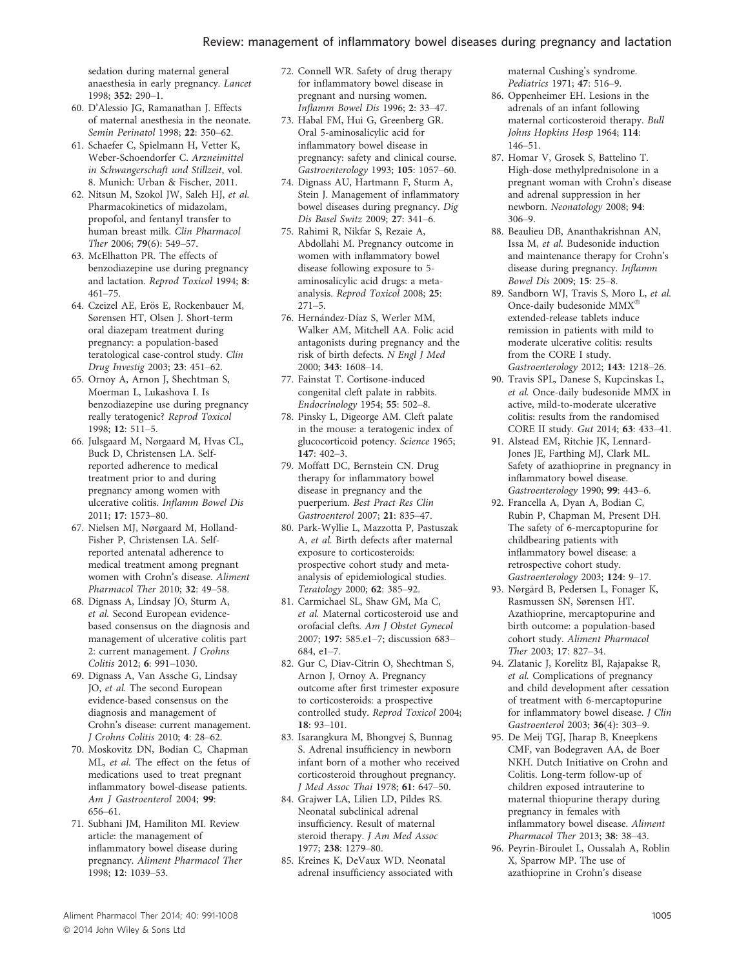sedation during maternal general anaesthesia in early pregnancy. Lancet 1998; 352: 290–1.

- 60. D'Alessio JG, Ramanathan J. Effects of maternal anesthesia in the neonate. Semin Perinatol 1998; 22: 350–62.
- 61. Schaefer C, Spielmann H, Vetter K, Weber-Schoendorfer C. Arzneimittel in Schwangerschaft und Stillzeit, vol. 8. Munich: Urban & Fischer, 2011.
- 62. Nitsun M, Szokol JW, Saleh HJ, et al. Pharmacokinetics of midazolam, propofol, and fentanyl transfer to human breast milk. Clin Pharmacol Ther 2006; 79(6): 549–57.
- 63. McElhatton PR. The effects of benzodiazepine use during pregnancy and lactation. Reprod Toxicol 1994; 8: 461–75.
- 64. Czeizel AE, Erös E, Rockenbauer M, Sørensen HT, Olsen J. Short-term oral diazepam treatment during pregnancy: a population-based teratological case-control study. Clin Drug Investig 2003; 23: 451–62.
- 65. Ornoy A, Arnon J, Shechtman S, Moerman L, Lukashova I. Is benzodiazepine use during pregnancy really teratogenic? Reprod Toxicol 1998; 12: 511–5.
- 66. Julsgaard M, Nørgaard M, Hvas CL, Buck D, Christensen LA. Selfreported adherence to medical treatment prior to and during pregnancy among women with ulcerative colitis. Inflamm Bowel Dis 2011; 17: 1573–80.
- 67. Nielsen MJ, Nørgaard M, Holland-Fisher P, Christensen LA. Selfreported antenatal adherence to medical treatment among pregnant women with Crohn's disease. Aliment Pharmacol Ther 2010; 32: 49–58.
- 68. Dignass A, Lindsay JO, Sturm A, et al. Second European evidencebased consensus on the diagnosis and management of ulcerative colitis part 2: current management. J Crohns Colitis 2012; 6: 991–1030.
- 69. Dignass A, Van Assche G, Lindsay JO, et al. The second European evidence-based consensus on the diagnosis and management of Crohn's disease: current management. J Crohns Colitis 2010; 4: 28–62.
- 70. Moskovitz DN, Bodian C, Chapman ML, et al. The effect on the fetus of medications used to treat pregnant inflammatory bowel-disease patients. Am J Gastroenterol 2004; 99: 656–61.
- 71. Subhani JM, Hamiliton MI. Review article: the management of inflammatory bowel disease during pregnancy. Aliment Pharmacol Ther 1998; 12: 1039–53.
- 72. Connell WR. Safety of drug therapy for inflammatory bowel disease in pregnant and nursing women. Inflamm Bowel Dis 1996; 2: 33–47.
- 73. Habal FM, Hui G, Greenberg GR. Oral 5-aminosalicylic acid for inflammatory bowel disease in pregnancy: safety and clinical course. Gastroenterology 1993; 105: 1057–60.
- 74. Dignass AU, Hartmann F, Sturm A, Stein J. Management of inflammatory bowel diseases during pregnancy. Dig Dis Basel Switz 2009; 27: 341–6.
- 75. Rahimi R, Nikfar S, Rezaie A, Abdollahi M. Pregnancy outcome in women with inflammatory bowel disease following exposure to 5 aminosalicylic acid drugs: a metaanalysis. Reprod Toxicol 2008; 25: 271–5.
- 76. Hernández-Díaz S, Werler MM, Walker AM, Mitchell AA. Folic acid antagonists during pregnancy and the risk of birth defects. N Engl J Med 2000; 343: 1608–14.
- 77. Fainstat T. Cortisone-induced congenital cleft palate in rabbits. Endocrinology 1954; 55: 502–8.
- 78. Pinsky L, Digeorge AM. Cleft palate in the mouse: a teratogenic index of glucocorticoid potency. Science 1965; 147: 402–3.
- 79. Moffatt DC, Bernstein CN. Drug therapy for inflammatory bowel disease in pregnancy and the puerperium. Best Pract Res Clin Gastroenterol 2007; 21: 835–47.
- 80. Park-Wyllie L, Mazzotta P, Pastuszak A, et al. Birth defects after maternal exposure to corticosteroids: prospective cohort study and metaanalysis of epidemiological studies. Teratology 2000; 62: 385–92.
- 81. Carmichael SL, Shaw GM, Ma C, et al. Maternal corticosteroid use and orofacial clefts. Am J Obstet Gynecol 2007; 197: 585.e1–7; discussion 683– 684, e1–7.
- 82. Gur C, Diav-Citrin O, Shechtman S, Arnon J, Ornoy A. Pregnancy outcome after first trimester exposure to corticosteroids: a prospective controlled study. Reprod Toxicol 2004; 18: 93–101.
- 83. Isarangkura M, Bhongvej S, Bunnag S. Adrenal insufficiency in newborn infant born of a mother who received corticosteroid throughout pregnancy. J Med Assoc Thai 1978; 61: 647–50.
- 84. Grajwer LA, Lilien LD, Pildes RS. Neonatal subclinical adrenal insufficiency. Result of maternal steroid therapy. J Am Med Assoc 1977; 238: 1279–80.
- 85. Kreines K, DeVaux WD. Neonatal adrenal insufficiency associated with

maternal Cushing's syndrome. Pediatrics 1971; 47: 516–9.

- 86. Oppenheimer EH. Lesions in the adrenals of an infant following maternal corticosteroid therapy. Bull Johns Hopkins Hosp 1964; 114: 146–51.
- 87. Homar V, Grosek S, Battelino T. High-dose methylprednisolone in a pregnant woman with Crohn's disease and adrenal suppression in her newborn. Neonatology 2008; 94: 306–9.
- 88. Beaulieu DB, Ananthakrishnan AN, Issa M, et al. Budesonide induction and maintenance therapy for Crohn's disease during pregnancy. Inflamm Bowel Dis 2009; 15: 25–8.
- 89. Sandborn WJ, Travis S, Moro L, et al. Once-daily budesonide MMX<sup>®</sup> extended-release tablets induce remission in patients with mild to moderate ulcerative colitis: results from the CORE I study. Gastroenterology 2012; 143: 1218–26.
- 90. Travis SPL, Danese S, Kupcinskas L, et al. Once-daily budesonide MMX in active, mild-to-moderate ulcerative colitis: results from the randomised CORE II study. Gut 2014; 63: 433–41.
- 91. Alstead EM, Ritchie JK, Lennard-Jones JE, Farthing MJ, Clark ML. Safety of azathioprine in pregnancy in inflammatory bowel disease. Gastroenterology 1990; 99: 443–6.
- 92. Francella A, Dyan A, Bodian C, Rubin P, Chapman M, Present DH. The safety of 6-mercaptopurine for childbearing patients with inflammatory bowel disease: a retrospective cohort study. Gastroenterology 2003; 124: 9–17.
- 93. Nørgard B, Pedersen L, Fonager K, Rasmussen SN, Sørensen HT. Azathioprine, mercaptopurine and birth outcome: a population-based cohort study. Aliment Pharmacol Ther 2003; 17: 827–34.
- 94. Zlatanic J, Korelitz BI, Rajapakse R, et al. Complications of pregnancy and child development after cessation of treatment with 6-mercaptopurine for inflammatory bowel disease. J Clin Gastroenterol 2003; 36(4): 303–9.
- 95. De Meij TGJ, Jharap B, Kneepkens CMF, van Bodegraven AA, de Boer NKH. Dutch Initiative on Crohn and Colitis. Long-term follow-up of children exposed intrauterine to maternal thiopurine therapy during pregnancy in females with inflammatory bowel disease. Aliment Pharmacol Ther 2013; 38: 38–43.
- 96. Peyrin-Biroulet L, Oussalah A, Roblin X, Sparrow MP. The use of azathioprine in Crohn's disease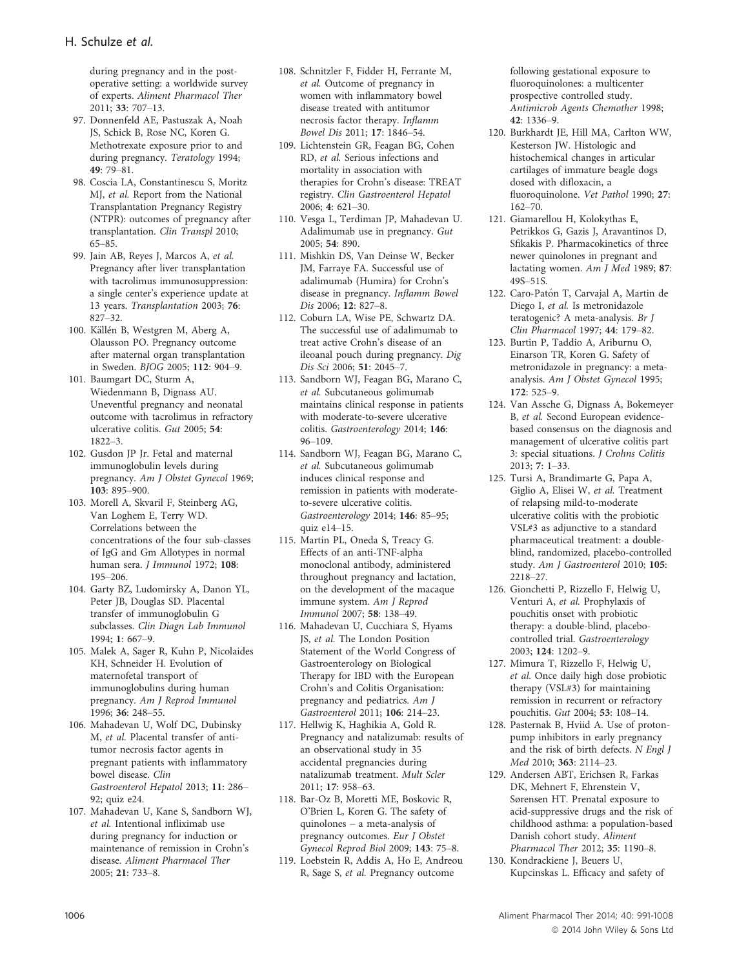during pregnancy and in the postoperative setting: a worldwide survey of experts. Aliment Pharmacol Ther  $2011: 33: 707-13.$ 

- 97. Donnenfeld AE, Pastuszak A, Noah JS, Schick B, Rose NC, Koren G. Methotrexate exposure prior to and during pregnancy. Teratology 1994; 49: 79–81.
- 98. Coscia LA, Constantinescu S, Moritz MJ, et al. Report from the National Transplantation Pregnancy Registry (NTPR): outcomes of pregnancy after transplantation. Clin Transpl 2010; 65–85.
- 99. Jain AB, Reyes J, Marcos A, et al. Pregnancy after liver transplantation with tacrolimus immunosuppression: a single center's experience update at 13 years. Transplantation 2003; 76: 827–32.
- 100. Källén B, Westgren M, Aberg A, Olausson PO. Pregnancy outcome after maternal organ transplantation in Sweden. BJOG 2005; 112: 904–9.
- 101. Baumgart DC, Sturm A, Wiedenmann B, Dignass AU. Uneventful pregnancy and neonatal outcome with tacrolimus in refractory ulcerative colitis. Gut 2005; 54: 1822–3.
- 102. Gusdon JP Jr. Fetal and maternal immunoglobulin levels during pregnancy. Am J Obstet Gynecol 1969; 103: 895–900.
- 103. Morell A, Skvaril F, Steinberg AG, Van Loghem E, Terry WD. Correlations between the concentrations of the four sub-classes of IgG and Gm Allotypes in normal human sera. J Immunol 1972; 108: 195–206.
- 104. Garty BZ, Ludomirsky A, Danon YL, Peter JB, Douglas SD. Placental transfer of immunoglobulin G subclasses. Clin Diagn Lab Immunol 1994; 1: 667–9.
- 105. Malek A, Sager R, Kuhn P, Nicolaides KH, Schneider H. Evolution of maternofetal transport of immunoglobulins during human pregnancy. Am J Reprod Immunol 1996; 36: 248–55.
- 106. Mahadevan U, Wolf DC, Dubinsky M, et al. Placental transfer of antitumor necrosis factor agents in pregnant patients with inflammatory bowel disease. Clin Gastroenterol Hepatol 2013; 11: 286– 92; quiz e24.
- 107. Mahadevan U, Kane S, Sandborn WJ, et al. Intentional infliximab use during pregnancy for induction or maintenance of remission in Crohn's disease. Aliment Pharmacol Ther 2005; 21: 733–8.
- 108. Schnitzler F, Fidder H, Ferrante M, et al. Outcome of pregnancy in women with inflammatory bowel disease treated with antitumor necrosis factor therapy. Inflamm Bowel Dis 2011; 17: 1846–54.
- 109. Lichtenstein GR, Feagan BG, Cohen RD, et al. Serious infections and mortality in association with therapies for Crohn's disease: TREAT registry. Clin Gastroenterol Hepatol 2006; 4: 621–30.
- 110. Vesga L, Terdiman JP, Mahadevan U. Adalimumab use in pregnancy. Gut 2005; 54: 890.
- 111. Mishkin DS, Van Deinse W, Becker JM, Farraye FA. Successful use of adalimumab (Humira) for Crohn's disease in pregnancy. Inflamm Bowel Dis 2006; 12: 827–8.
- 112. Coburn LA, Wise PE, Schwartz DA. The successful use of adalimumab to treat active Crohn's disease of an ileoanal pouch during pregnancy. Dig Dis Sci 2006; 51: 2045–7.
- 113. Sandborn WJ, Feagan BG, Marano C, et al. Subcutaneous golimumab maintains clinical response in patients with moderate-to-severe ulcerative colitis. Gastroenterology 2014; 146: 96–109.
- 114. Sandborn WJ, Feagan BG, Marano C, et al. Subcutaneous golimumab induces clinical response and remission in patients with moderateto-severe ulcerative colitis. Gastroenterology 2014; 146: 85–95; quiz e14–15.
- 115. Martin PL, Oneda S, Treacy G. Effects of an anti-TNF-alpha monoclonal antibody, administered throughout pregnancy and lactation, on the development of the macaque immune system. Am J Reprod Immunol 2007; 58: 138–49.
- 116. Mahadevan U, Cucchiara S, Hyams JS, et al. The London Position Statement of the World Congress of Gastroenterology on Biological Therapy for IBD with the European Crohn's and Colitis Organisation: pregnancy and pediatrics. Am J Gastroenterol 2011; 106: 214–23.
- 117. Hellwig K, Haghikia A, Gold R. Pregnancy and natalizumab: results of an observational study in 35 accidental pregnancies during natalizumab treatment. Mult Scler 2011; 17: 958–63.
- 118. Bar-Oz B, Moretti ME, Boskovic R, O'Brien L, Koren G. The safety of quinolones – a meta-analysis of pregnancy outcomes. Eur J Obstet Gynecol Reprod Biol 2009; 143: 75–8.
- 119. Loebstein R, Addis A, Ho E, Andreou R, Sage S, et al. Pregnancy outcome

following gestational exposure to fluoroquinolones: a multicenter prospective controlled study. Antimicrob Agents Chemother 1998; 42: 1336–9.

- 120. Burkhardt JE, Hill MA, Carlton WW, Kesterson JW. Histologic and histochemical changes in articular cartilages of immature beagle dogs dosed with difloxacin, a fluoroquinolone. Vet Pathol 1990; 27: 162–70.
- 121. Giamarellou H, Kolokythas E, Petrikkos G, Gazis J, Aravantinos D, Sfikakis P. Pharmacokinetics of three newer quinolones in pregnant and lactating women. Am J Med 1989; 87: 49S–51S.
- 122. Caro-Patón T, Carvajal A, Martin de Diego I, et al. Is metronidazole teratogenic? A meta-analysis. Br J Clin Pharmacol 1997; 44: 179–82.
- 123. Burtin P, Taddio A, Ariburnu O, Einarson TR, Koren G. Safety of metronidazole in pregnancy: a metaanalysis. Am J Obstet Gynecol 1995; 172: 525–9.
- 124. Van Assche G, Dignass A, Bokemeyer B, et al. Second European evidencebased consensus on the diagnosis and management of ulcerative colitis part 3: special situations. J Crohns Colitis 2013; 7: 1–33.
- 125. Tursi A, Brandimarte G, Papa A, Giglio A, Elisei W, et al. Treatment of relapsing mild-to-moderate ulcerative colitis with the probiotic VSL#3 as adjunctive to a standard pharmaceutical treatment: a doubleblind, randomized, placebo-controlled study. Am J Gastroenterol 2010; 105: 2218–27.
- 126. Gionchetti P, Rizzello F, Helwig U, Venturi A, et al. Prophylaxis of pouchitis onset with probiotic therapy: a double-blind, placebocontrolled trial. Gastroenterology 2003; 124: 1202–9.
- 127. Mimura T, Rizzello F, Helwig U, et al. Once daily high dose probiotic therapy (VSL#3) for maintaining remission in recurrent or refractory pouchitis. Gut 2004; 53: 108–14.
- 128. Pasternak B, Hviid A. Use of protonpump inhibitors in early pregnancy and the risk of birth defects. N Engl J Med 2010; 363: 2114–23.
- 129. Andersen ABT, Erichsen R, Farkas DK, Mehnert F, Ehrenstein V, Sørensen HT. Prenatal exposure to acid-suppressive drugs and the risk of childhood asthma: a population-based Danish cohort study. Aliment Pharmacol Ther 2012; 35: 1190–8.
- 130. Kondrackiene J, Beuers U, Kupcinskas L. Efficacy and safety of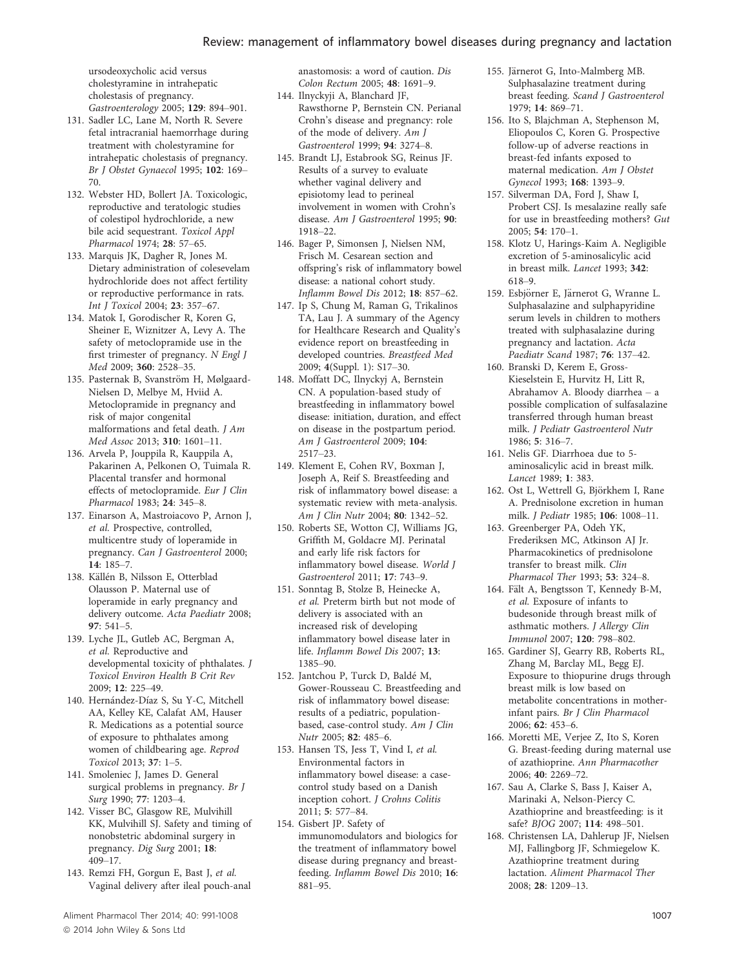ursodeoxycholic acid versus cholestyramine in intrahepatic cholestasis of pregnancy. Gastroenterology 2005; 129: 894–901.

- 131. Sadler LC, Lane M, North R. Severe fetal intracranial haemorrhage during treatment with cholestyramine for intrahepatic cholestasis of pregnancy. Br J Obstet Gynaecol 1995; 102: 169– 70.
- 132. Webster HD, Bollert JA. Toxicologic, reproductive and teratologic studies of colestipol hydrochloride, a new bile acid sequestrant. Toxicol Appl Pharmacol 1974; 28: 57–65.
- 133. Marquis JK, Dagher R, Jones M. Dietary administration of colesevelam hydrochloride does not affect fertility or reproductive performance in rats. Int J Toxicol 2004; 23: 357–67.
- 134. Matok I, Gorodischer R, Koren G, Sheiner E, Wiznitzer A, Levy A. The safety of metoclopramide use in the first trimester of pregnancy. N Engl J Med 2009; 360: 2528–35.
- 135. Pasternak B, Svanström H, Mølgaard-Nielsen D, Melbye M, Hviid A. Metoclopramide in pregnancy and risk of major congenital malformations and fetal death. J Am Med Assoc 2013; 310: 1601–11.
- 136. Arvela P, Jouppila R, Kauppila A, Pakarinen A, Pelkonen O, Tuimala R. Placental transfer and hormonal effects of metoclopramide. Eur J Clin Pharmacol 1983; 24: 345–8.
- 137. Einarson A, Mastroiacovo P, Arnon J, et al. Prospective, controlled, multicentre study of loperamide in pregnancy. Can J Gastroenterol 2000; 14: 185–7.
- 138. Källén B, Nilsson E, Otterblad Olausson P. Maternal use of loperamide in early pregnancy and delivery outcome. Acta Paediatr 2008; 97: 541–5.
- 139. Lyche JL, Gutleb AC, Bergman A, et al. Reproductive and developmental toxicity of phthalates. J Toxicol Environ Health B Crit Rev 2009; 12: 225–49.
- 140. Hernández-Díaz S, Su Y-C, Mitchell AA, Kelley KE, Calafat AM, Hauser R. Medications as a potential source of exposure to phthalates among women of childbearing age. Reprod Toxicol 2013; 37: 1–5.
- 141. Smoleniec J, James D. General surgical problems in pregnancy. Br J Surg 1990; 77: 1203–4.
- 142. Visser BC, Glasgow RE, Mulvihill KK, Mulvihill SJ. Safety and timing of nonobstetric abdominal surgery in pregnancy. Dig Surg 2001; 18: 409–17.
- 143. Remzi FH, Gorgun E, Bast J, et al. Vaginal delivery after ileal pouch-anal

anastomosis: a word of caution. Dis Colon Rectum 2005; 48: 1691–9.

- 144. Ilnyckyji A, Blanchard JF, Rawsthorne P, Bernstein CN. Perianal Crohn's disease and pregnancy: role of the mode of delivery. Am J Gastroenterol 1999; 94: 3274–8.
- 145. Brandt LJ, Estabrook SG, Reinus JF. Results of a survey to evaluate whether vaginal delivery and episiotomy lead to perineal involvement in women with Crohn's disease. Am J Gastroenterol 1995; 90: 1918–22.
- 146. Bager P, Simonsen J, Nielsen NM, Frisch M. Cesarean section and offspring's risk of inflammatory bowel disease: a national cohort study. Inflamm Bowel Dis 2012; 18: 857–62.
- 147. Ip S, Chung M, Raman G, Trikalinos TA, Lau J. A summary of the Agency for Healthcare Research and Quality's evidence report on breastfeeding in developed countries. Breastfeed Med 2009; 4(Suppl. 1): S17–30.
- 148. Moffatt DC, Ilnyckyj A, Bernstein CN. A population-based study of breastfeeding in inflammatory bowel disease: initiation, duration, and effect on disease in the postpartum period. Am J Gastroenterol 2009; 104: 2517–23.
- 149. Klement E, Cohen RV, Boxman J, Joseph A, Reif S. Breastfeeding and risk of inflammatory bowel disease: a systematic review with meta-analysis. Am J Clin Nutr 2004; 80: 1342–52.
- 150. Roberts SE, Wotton CJ, Williams JG, Griffith M, Goldacre MJ. Perinatal and early life risk factors for inflammatory bowel disease. World J Gastroenterol 2011; 17: 743–9.
- 151. Sonntag B, Stolze B, Heinecke A, et al. Preterm birth but not mode of delivery is associated with an increased risk of developing inflammatory bowel disease later in life. Inflamm Bowel Dis 2007; 13: 1385–90.
- 152. Jantchou P, Turck D, Baldé M, Gower-Rousseau C. Breastfeeding and risk of inflammatory bowel disease: results of a pediatric, populationbased, case-control study. Am J Clin Nutr 2005; 82: 485–6.
- 153. Hansen TS, Jess T, Vind I, et al. Environmental factors in inflammatory bowel disease: a casecontrol study based on a Danish inception cohort. J Crohns Colitis 2011; 5: 577–84.
- 154. Gisbert JP. Safety of immunomodulators and biologics for the treatment of inflammatory bowel disease during pregnancy and breastfeeding. Inflamm Bowel Dis 2010; 16: 881–95.
- 155. Järnerot G, Into-Malmberg MB. Sulphasalazine treatment during breast feeding. Scand J Gastroenterol 1979; 14: 869–71.
- 156. Ito S, Blajchman A, Stephenson M, Eliopoulos C, Koren G. Prospective follow-up of adverse reactions in breast-fed infants exposed to maternal medication. Am J Obstet Gynecol 1993; 168: 1393–9.
- 157. Silverman DA, Ford J, Shaw I, Probert CSJ. Is mesalazine really safe for use in breastfeeding mothers? Gut 2005; 54: 170–1.
- 158. Klotz U, Harings-Kaim A. Negligible excretion of 5-aminosalicylic acid in breast milk. Lancet 1993; 342: 618–9.
- 159. Esbjörner E, Järnerot G, Wranne L. Sulphasalazine and sulphapyridine serum levels in children to mothers treated with sulphasalazine during pregnancy and lactation. Acta Paediatr Scand 1987; 76: 137–42.
- 160. Branski D, Kerem E, Gross-Kieselstein E, Hurvitz H, Litt R, Abrahamov A. Bloody diarrhea – a possible complication of sulfasalazine transferred through human breast milk. J Pediatr Gastroenterol Nutr 1986; 5: 316–7.
- 161. Nelis GF. Diarrhoea due to 5 aminosalicylic acid in breast milk. Lancet 1989; 1: 383.
- 162. Ost L, Wettrell G, Björkhem I, Rane A. Prednisolone excretion in human milk. J Pediatr 1985; 106: 1008–11.
- 163. Greenberger PA, Odeh YK, Frederiksen MC, Atkinson AJ Jr. Pharmacokinetics of prednisolone transfer to breast milk. Clin Pharmacol Ther 1993; 53: 324–8.
- 164. Fält A, Bengtsson T, Kennedy B-M, et al. Exposure of infants to budesonide through breast milk of asthmatic mothers. J Allergy Clin Immunol 2007; 120: 798–802.
- 165. Gardiner SJ, Gearry RB, Roberts RL, Zhang M, Barclay ML, Begg EJ. Exposure to thiopurine drugs through breast milk is low based on metabolite concentrations in motherinfant pairs. Br J Clin Pharmacol 2006; 62: 453–6.
- 166. Moretti ME, Verjee Z, Ito S, Koren G. Breast-feeding during maternal use of azathioprine. Ann Pharmacother 2006; 40: 2269–72.
- 167. Sau A, Clarke S, Bass J, Kaiser A, Marinaki A, Nelson-Piercy C. Azathioprine and breastfeeding: is it safe? BJOG 2007; 114: 498–501.
- 168. Christensen LA, Dahlerup JF, Nielsen MJ, Fallingborg JF, Schmiegelow K. Azathioprine treatment during lactation. Aliment Pharmacol Ther 2008; 28: 1209–13.